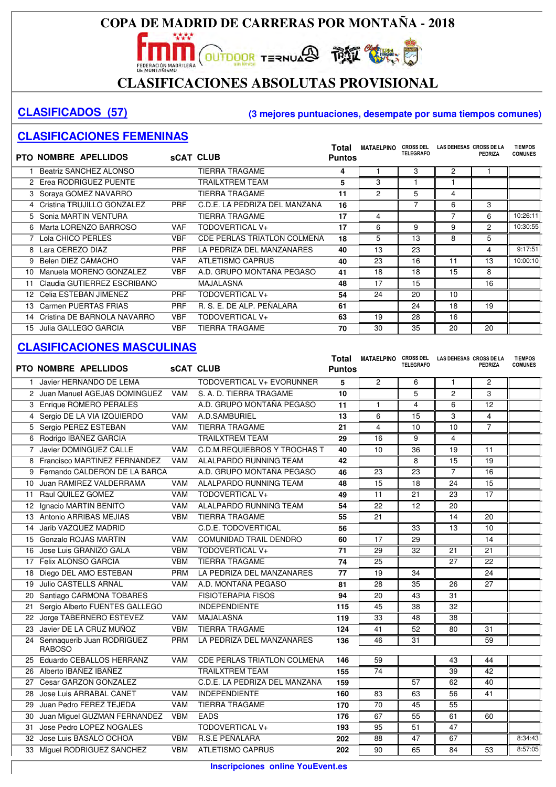**OUTDOOR TERNUARD THAT COMPANY** FEDERACIÓN MADRILEÑA

#### **CLASIFICACIONES ABSOLUTAS PROVISIONAL**

#### **CLASIFICADOS (57) (3 mejores puntuaciones, desempate por suma tiempos comunes)**

#### **CLASIFICACIONES FEMENINAS**

|    | <b>PTO NOMBRE APELLIDOS</b>    |            | <b>SCAT CLUB</b>                   | Total<br><b>Puntos</b> | <b>MATAELPINO</b> | <b>CROSS DEL</b><br><b>TELEGRAFO</b> | LAS DEHESAS CROSS DE LA | PEDRIZA | <b>TIEMPOS</b><br><b>COMUNES</b> |
|----|--------------------------------|------------|------------------------------------|------------------------|-------------------|--------------------------------------|-------------------------|---------|----------------------------------|
|    | Beatriz SANCHEZ ALONSO         |            | <b>TIERRA TRAGAME</b>              | 4                      |                   | 3                                    | 2                       |         |                                  |
|    | 2 Erea RODRIGUEZ PUENTE        |            | TRAILXTREM TEAM                    | 5                      | 3                 |                                      |                         |         |                                  |
|    | 3 Soraya GOMEZ NAVARRO         |            | <b>TIERRA TRAGAME</b>              | 11                     | $\overline{c}$    | 5                                    | 4                       |         |                                  |
|    | 4 Cristina TRUJILLO GONZALEZ   | <b>PRF</b> | C.D.E. LA PEDRIZA DEL MANZANA      | 16                     |                   |                                      | 6                       | 3       |                                  |
|    | 5 Sonia MARTIN VENTURA         |            | TIERRA TRAGAME                     | 17                     | 4                 |                                      |                         | 6       | 10:26:11                         |
|    | 6 Marta LORENZO BARROSO        | VAF        | TODOVERTICAL V+                    | 17                     | 6                 | 9                                    | 9                       | 2       | 10:30:55                         |
|    | 7 Lola CHICO PERLES            | <b>VBF</b> | <b>CDE PERLAS TRIATLON COLMENA</b> | 18                     | 5                 | 13                                   | 8                       | 5       |                                  |
|    | 8 Lara CEREZO DIAZ             | <b>PRF</b> | LA PEDRIZA DEL MANZANARES          | 40                     | 13                | 23                                   |                         | 4       | 9:17:51                          |
|    | 9 Belen DIEZ CAMACHO           | <b>VAF</b> | <b>ATLETISMO CAPRUS</b>            | 40                     | 23                | 16                                   | 11                      | 13      | 10:00:10                         |
| 10 | Manuela MORENO GONZALEZ        | <b>VBF</b> | A.D. GRUPO MONTAÑA PEGASO          | 41                     | 18                | 18                                   | 15                      | 8       |                                  |
| 11 | Claudia GUTIERREZ ESCRIBANO    |            | MAJALASNA                          | 48                     | 17                | 15                                   |                         | 16      |                                  |
|    | 12 Celia ESTEBAN JIMENEZ       | <b>PRF</b> | TODOVERTICAL V+                    | 54                     | 24                | 20                                   | 10                      |         |                                  |
|    | 13 Carmen PUERTAS FRIAS        | <b>PRF</b> | R. S. E. DE ALP. PEÑALARA          | 61                     |                   | 24                                   | 18                      | 19      |                                  |
|    | 14 Cristina DE BARNOLA NAVARRO | <b>VBF</b> | TODOVERTICAL V+                    | 63                     | 19                | 28                                   | 16                      |         |                                  |
| 15 | Julia GALLEGO GARCIA           | <b>VBF</b> | TIERRA TRAGAME                     | 70                     | 30                | 35                                   | 20                      | 20      |                                  |

|    | PTO NOMBRE APELLIDOS            |            | <b>sCAT CLUB</b>                    | Total<br><b>Puntos</b> | MATAELPINO CROSS DEL | <b>TELEGRAFO</b> | LAS DEHESAS CROSS DE LA | <b>PEDRIZA</b>  | <b>TIEMPOS</b><br><b>COMUNES</b> |
|----|---------------------------------|------------|-------------------------------------|------------------------|----------------------|------------------|-------------------------|-----------------|----------------------------------|
|    | 1 Javier HERNANDO DE LEMA       |            | TODOVERTICAL V+ EVORUNNER           | 5                      | $\overline{2}$       | 6                | $\mathbf{1}$            | 2               |                                  |
|    | 2 Juan Manuel AGEJAS DOMINGUEZ  | <b>VAM</b> | S. A. D. TIERRA TRAGAME             | 10                     |                      | 5                | $\overline{c}$          | 3               |                                  |
|    | 3 Enrique ROMERO PERALES        |            | A.D. GRUPO MONTAÑA PEGASO           | 11                     | $\mathbf{1}$         | 4                | 6                       | 12              |                                  |
|    | 4 Sergio DE LA VIA IZQUIERDO    | <b>VAM</b> | A.D.SAMBURIEL                       | 13                     | 6                    | 15               | 3                       | $\overline{4}$  |                                  |
| 5  | Sergio PEREZ ESTEBAN            | <b>VAM</b> | <b>TIERRA TRAGAME</b>               | 21                     | 4                    | 10               | 10                      | $\overline{7}$  |                                  |
|    | 6 Rodrigo IBAÑEZ GARCIA         |            | <b>TRAILXTREM TEAM</b>              | 29                     | 16                   | 9                | 4                       |                 |                                  |
|    | 7 Javier DOMINGUEZ CALLE        | <b>VAM</b> | <b>C.D.M.REQUIEBROS Y TROCHAS T</b> | 40                     | 10                   | 36               | 19                      | 11              |                                  |
|    | 8 Francisco MARTINEZ FERNANDEZ  | <b>VAM</b> | ALALPARDO RUNNING TEAM              | 42                     |                      | 8                | 15                      | 19              |                                  |
|    | 9 Fernando CALDERON DE LA BARCA |            | A.D. GRUPO MONTAÑA PEGASO           | 46                     | 23                   | 23               | $\overline{7}$          | 16              |                                  |
| 10 | Juan RAMIREZ VALDERRAMA         | <b>VAM</b> | ALALPARDO RUNNING TEAM              | 48                     | 15                   | 18               | 24                      | $\overline{15}$ |                                  |
| 11 | Raul QUILEZ GOMEZ               | <b>VAM</b> | TODOVERTICAL V+                     | 49                     | 11                   | 21               | 23                      | $\overline{17}$ |                                  |
| 12 | Ignacio MARTIN BENITO           | <b>VAM</b> | ALALPARDO RUNNING TEAM              | 54                     | $\overline{22}$      | 12               | 20                      |                 |                                  |
| 13 | Antonio ARRIBAS MEJIAS          | <b>VBM</b> | <b>TIERRA TRAGAME</b>               | 55                     | 21                   |                  | 14                      | 20              |                                  |
| 14 | Jarib VAZQUEZ MADRID            |            | C.D.E. TODOVERTICAL                 | 56                     |                      | 33               | 13                      | 10              |                                  |
| 15 | <b>Gonzalo ROJAS MARTIN</b>     | VAM        | <b>COMUNIDAD TRAIL DENDRO</b>       | 60                     | 17                   | 29               |                         | 14              |                                  |
| 16 | Jose Luis GRANIZO GALA          | <b>VBM</b> | <b>TODOVERTICAL V+</b>              | 71                     | 29                   | $\overline{32}$  | 21                      | $\overline{21}$ |                                  |
|    | 17 Felix ALONSO GARCIA          | <b>VBM</b> | <b>TIERRA TRAGAME</b>               | 74                     | $\overline{25}$      |                  | $\overline{27}$         | $\overline{22}$ |                                  |
| 18 | Diego DEL AMO ESTEBAN           | <b>PRM</b> | LA PEDRIZA DEL MANZANARES           | 77                     | 19                   | $\overline{34}$  |                         | 24              |                                  |
| 19 | Julio CASTELLS ARNAL            | <b>VAM</b> | A.D. MONTAÑA PEGASO                 | 81                     | 28                   | 35               | 26                      | 27              |                                  |
| 20 | Santiago CARMONA TOBARES        |            | <b>FISIOTERAPIA FISOS</b>           | 94                     | 20                   | 43               | 31                      |                 |                                  |
| 21 | Sergio Alberto FUENTES GALLEGO  |            | <b>INDEPENDIENTE</b>                | 115                    | 45                   | 38               | 32                      |                 |                                  |
|    | 22 Jorge TABERNERO ESTEVEZ      | <b>VAM</b> | <b>MAJALASNA</b>                    | 119                    | $\overline{33}$      | 48               | $\overline{38}$         |                 |                                  |
| 23 | Javier DE LA CRUZ MUÑOZ         | <b>VBM</b> | <b>TIERRA TRAGAME</b>               | 124                    | 41                   | $\overline{52}$  | 80                      | 31              |                                  |
|    | 24 Sennaquerib Juan RODRIGUEZ   | <b>PRM</b> | LA PEDRIZA DEL MANZANARES           | 136                    | 46                   | 31               |                         | 59              |                                  |
|    | <b>RABOSO</b>                   |            |                                     |                        |                      |                  |                         |                 |                                  |
| 25 | Eduardo CEBALLOS HERRANZ        | <b>VAM</b> | <b>CDE PERLAS TRIATLON COLMENA</b>  | 146                    | $\overline{59}$      |                  | 43                      | 44              |                                  |
| 26 | Alberto IBAÑEZ IBAÑEZ           |            | <b>TRAILXTREM TEAM</b>              | 155                    | 74                   |                  | 39                      | 42              |                                  |
| 27 | Cesar GARZON GONZALEZ           |            | C.D.E. LA PEDRIZA DEL MANZANA       | 159                    |                      | $\overline{57}$  | 62                      | 40              |                                  |
| 28 | Jose Luis ARRABAL CANET         | VAM        | <b>INDEPENDIENTE</b>                | 160                    | 83                   | 63               | 56                      | 41              |                                  |
| 29 | Juan Pedro FEREZ TEJEDA         | <b>VAM</b> | <b>TIERRA TRAGAME</b>               | 170                    | $\overline{70}$      | 45               | $\overline{55}$         |                 |                                  |
| 30 | Juan Miguel GUZMAN FERNANDEZ    | <b>VBM</b> | <b>EADS</b>                         | 176                    | $\overline{67}$      | 55               | 61                      | 60              |                                  |
| 31 | Jose Pedro LOPEZ NOGALES        |            | <b>TODOVERTICAL V+</b>              | 193                    | 95                   | 51               | $\overline{47}$         |                 |                                  |
| 32 | Jose Luis BASALO OCHOA          | <b>VBM</b> | <b>R.S.E PEÑALARA</b>               | 202                    | 88                   | 47               | 67                      |                 | 8:34:43                          |
|    | 33 Miguel RODRIGUEZ SANCHEZ     | <b>VBM</b> | <b>ATLETISMO CAPRUS</b>             | 202                    | 90                   | 65               | 84                      | 53              | 8:57:05                          |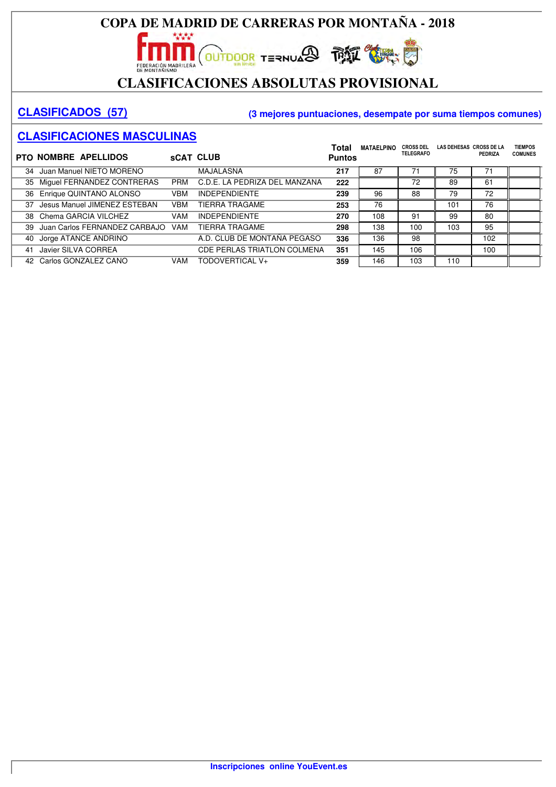# CLASIFICACIONES ABSOLUTAS PROVISIONAL

#### **CLASIFICADOS (57) (3 mejores puntuaciones, desempate por suma tiempos comunes)**

|    | <b>PTO NOMBRE APELLIDOS</b>   |            | <b>SCAT CLUB</b>                   | Total<br><b>Puntos</b> | <b>MATAELPINO</b> | <b>CROSS DEL</b><br><b>TELEGRAFO</b> | LAS DEHESAS CROSS DE LA | PEDRIZA | <b>TIEMPOS</b><br><b>COMUNES</b> |
|----|-------------------------------|------------|------------------------------------|------------------------|-------------------|--------------------------------------|-------------------------|---------|----------------------------------|
| 34 | Juan Manuel NIETO MORENO      |            | <b>MAJALASNA</b>                   | 217                    | 87                | 71                                   | 75                      | 71      |                                  |
| 35 | Miguel FERNANDEZ CONTRERAS    | <b>PRM</b> | C.D.E. LA PEDRIZA DEL MANZANA      | 222                    |                   | 72                                   | 89                      | 61      |                                  |
|    | 36 Enrique QUINTANO ALONSO    | VBM        | <b>INDEPENDIENTE</b>               | 239                    | 96                | 88                                   | 79                      | 72      |                                  |
| 37 | Jesus Manuel JIMENEZ ESTEBAN  | <b>VBM</b> | <b>TIERRA TRAGAME</b>              | 253                    | 76                |                                      | 101                     | 76      |                                  |
| 38 | Chema GARCIA VILCHEZ          | <b>VAM</b> | <b>INDEPENDIENTE</b>               | 270                    | 108               | 91                                   | 99                      | 80      |                                  |
| 39 | Juan Carlos FERNANDEZ CARBAJO | <b>VAM</b> | <b>TIERRA TRAGAME</b>              | 298                    | 138               | 100                                  | 103                     | 95      |                                  |
| 40 | Jorge ATANCE ANDRINO          |            | A.D. CLUB DE MONTAÑA PEGASO        | 336                    | 136               | 98                                   |                         | 102     |                                  |
| 41 | Javier SILVA CORREA           |            | <b>CDE PERLAS TRIATLON COLMENA</b> | 351                    | 145               | 106                                  |                         | 100     |                                  |
|    | 42 Carlos GONZALEZ CANO       | <b>VAM</b> | TODOVERTICAL V+                    | 359                    | 146               | 103                                  | 110                     |         |                                  |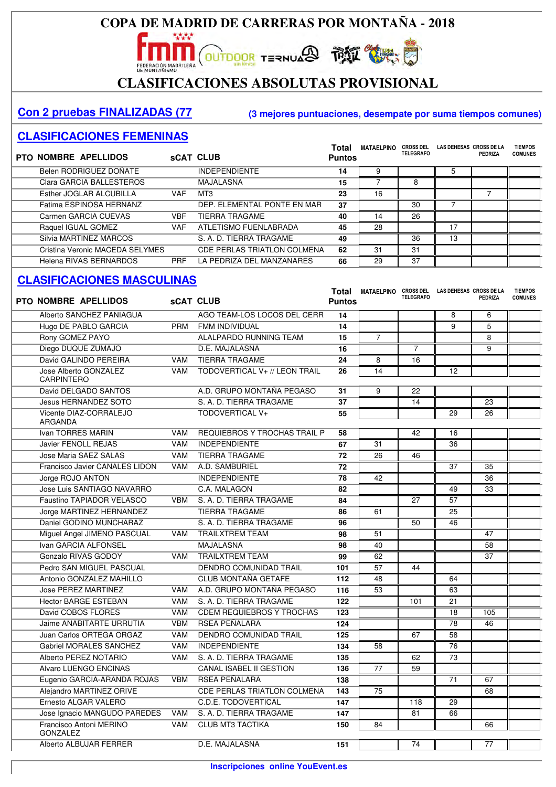# **CLASIFICACIONES ABSOLUTAS PROVISIONAL**

#### **Con 2 pruebas FINALIZADAS (77 (3 mejores puntuaciones, desempate por suma tiempos comunes)**

#### **CLASIFICACIONES FEMENINAS**

| <b>PTO NOMBRE APELLIDOS</b>     |            | <b>SCAT CLUB</b>                   | <b>Total</b><br><b>Puntos</b> | <b>MATAELPINO</b> | <b>CROSS DEL</b><br><b>TELEGRAFO</b> | LAS DEHESAS CROSS DE LA | PEDRIZA | <b>TIEMPOS</b><br><b>COMUNES</b> |
|---------------------------------|------------|------------------------------------|-------------------------------|-------------------|--------------------------------------|-------------------------|---------|----------------------------------|
| Belen RODRIGUEZ DOÑATE          |            | <b>INDEPENDIENTE</b>               | 14                            | 9                 |                                      | 5                       |         |                                  |
| Clara GARCIA BALLESTEROS        |            | <b>MAJALASNA</b>                   | 15                            |                   | 8                                    |                         |         |                                  |
| Esther JOGLAR ALCUBILLA         | <b>VAF</b> | MT3                                | 23                            | 16                |                                      |                         |         |                                  |
| Fatima ESPINOSA HERNANZ         |            | DEP. ELEMENTAL PONTE EN MAR        | 37                            |                   | 30                                   |                         |         |                                  |
| Carmen GARCIA CUEVAS            | <b>VBF</b> | <b>TIERRA TRAGAME</b>              | 40                            | 14                | 26                                   |                         |         |                                  |
| Raquel IGUAL GOMEZ              | <b>VAF</b> | ATLETISMO FUENLABRADA              | 45                            | 28                |                                      | 17                      |         |                                  |
| Silvia MARTINEZ MARCOS          |            | S. A. D. TIERRA TRAGAME            | 49                            |                   | 36                                   | 13                      |         |                                  |
| Cristina Veronic MACEDA SELYMES |            | <b>CDE PERLAS TRIATLON COLMENA</b> | 62                            | 31                | 31                                   |                         |         |                                  |
| Helena RIVAS BERNARDOS          | <b>PRF</b> | LA PEDRIZA DEL MANZANARES          | 66                            | 29                | 37                                   |                         |         |                                  |

| <b>PTO NOMBRE APELLIDOS</b>                |            | <b>SCAT CLUB</b>                    | Total<br><b>Puntos</b> | MATAELPINO CROSS DEL | <b>TELEGRAFO</b> | LAS DEHESAS CROSS DE LA | <b>PEDRIZA</b> | <b>TIEMPOS</b><br><b>COMUNES</b> |
|--------------------------------------------|------------|-------------------------------------|------------------------|----------------------|------------------|-------------------------|----------------|----------------------------------|
| Alberto SANCHEZ PANIAGUA                   |            | AGO TEAM-LOS LOCOS DEL CERR         | 14                     |                      |                  | 8                       | 6              |                                  |
| Hugo DE PABLO GARCIA                       | <b>PRM</b> | <b>FMM INDIVIDUAL</b>               | 14                     |                      |                  | 9                       | 5              |                                  |
| Rony GOMEZ PAYO                            |            | ALALPARDO RUNNING TEAM              | 15                     | $\overline{7}$       |                  |                         | 8              |                                  |
| Diego DUQUE ZUMAJO                         |            | D.E. MAJALASNA                      | 16                     |                      | $\overline{7}$   |                         | 9              |                                  |
| David GALINDO PEREIRA                      | <b>VAM</b> | <b>TIERRA TRAGAME</b>               | 24                     | 8                    | 16               |                         |                |                                  |
| Jose Alberto GONZALEZ<br><b>CARPINTERO</b> | <b>VAM</b> | TODOVERTICAL V+ // LEON TRAIL       | 26                     | 14                   |                  | 12                      |                |                                  |
| David DELGADO SANTOS                       |            | A.D. GRUPO MONTAÑA PEGASO           | 31                     | 9                    | 22               |                         |                |                                  |
| <b>Jesus HERNANDEZ SOTO</b>                |            | S. A. D. TIERRA TRAGAME             | 37                     |                      | 14               |                         | 23             |                                  |
| Vicente DIAZ-CORRALEJO<br>ARGANDA          |            | TODOVERTICAL V+                     | 55                     |                      |                  | 29                      | 26             |                                  |
| Ivan TORRES MARIN                          | <b>VAM</b> | <b>REQUIEBROS Y TROCHAS TRAIL P</b> | 58                     |                      | 42               | 16                      |                |                                  |
| <b>Javier FENOLL REJAS</b>                 | <b>VAM</b> | <b>INDEPENDIENTE</b>                | 67                     | 31                   |                  | 36                      |                |                                  |
| Jose Maria SAEZ SALAS                      | <b>VAM</b> | <b>TIERRA TRAGAME</b>               | 72                     | 26                   | 46               |                         |                |                                  |
| Francisco Javier CANALES LIDON             | <b>VAM</b> | A.D. SAMBURIEL                      | 72                     |                      |                  | 37                      | 35             |                                  |
| Jorge ROJO ANTON                           |            | <b>INDEPENDIENTE</b>                | 78                     | 42                   |                  |                         | 36             |                                  |
| Jose Luis SANTIAGO NAVARRO                 |            | C.A. MALAGON                        | 82                     |                      |                  | 49                      | 33             |                                  |
| Faustino TAPIADOR VELASCO                  | <b>VBM</b> | S. A. D. TIERRA TRAGAME             | 84                     |                      | 27               | 57                      |                |                                  |
| Jorge MARTINEZ HERNANDEZ                   |            | <b>TIERRA TRAGAME</b>               | 86                     | 61                   |                  | 25                      |                |                                  |
| Daniel GODINO MUNCHARAZ                    |            | S. A. D. TIERRA TRAGAME             | 96                     |                      | 50               | 46                      |                |                                  |
| Miguel Angel JIMENO PASCUAL                | <b>VAM</b> | <b>TRAILXTREM TEAM</b>              | 98                     | 51                   |                  |                         | 47             |                                  |
| Ivan GARCIA ALFONSEL                       |            | <b>MAJALASNA</b>                    | 98                     | 40                   |                  |                         | 58             |                                  |
| Gonzalo RIVAS GODOY                        | <b>VAM</b> | <b>TRAILXTREM TEAM</b>              | 99                     | 62                   |                  |                         | 37             |                                  |
| Pedro SAN MIGUEL PASCUAL                   |            | <b>DENDRO COMUNIDAD TRAIL</b>       | 101                    | 57                   | 44               |                         |                |                                  |
| Antonio GONZALEZ MAHILLO                   |            | <b>CLUB MONTAÑA GETAFE</b>          | 112                    | 48                   |                  | 64                      |                |                                  |
| <b>Jose PEREZ MARTINEZ</b>                 | <b>VAM</b> | A.D. GRUPO MONTAÑA PEGASO           | 116                    | 53                   |                  | 63                      |                |                                  |
| <b>Hector BARGE ESTEBAN</b>                | <b>VAM</b> | S. A. D. TIERRA TRAGAME             | 122                    |                      | 101              | 21                      |                |                                  |
| David COBOS FLORES                         | <b>VAM</b> | <b>CDEM REQUIEBROS Y TROCHAS</b>    | 123                    |                      |                  | 18                      | 105            |                                  |
| Jaime ANABITARTE URRUTIA                   | <b>VBM</b> | RSEA PEÑALARA                       | 124                    |                      |                  | 78                      | 46             |                                  |
| Juan Carlos ORTEGA ORGAZ                   | <b>VAM</b> | <b>DENDRO COMUNIDAD TRAIL</b>       | 125                    |                      | 67               | 58                      |                |                                  |
| Gabriel MORALES SANCHEZ                    | <b>VAM</b> | <b>INDEPENDIENTE</b>                | 134                    | 58                   |                  | 76                      |                |                                  |
| Alberto PEREZ NOTARIO                      | <b>VAM</b> | S. A. D. TIERRA TRAGAME             | 135                    |                      | 62               | 73                      |                |                                  |
| Alvaro LUENGO ENCINAS                      |            | <b>CANAL ISABEL II GESTION</b>      | 136                    | 77                   | 59               |                         |                |                                  |
| Eugenio GARCIA-ARANDA ROJAS                | VBM        | RSEA PEÑALARA                       | 138                    |                      |                  | 71                      | 67             |                                  |
| Alejandro MARTINEZ ORIVE                   |            | CDE PERLAS TRIATLON COLMENA         | 143                    | 75                   |                  |                         | 68             |                                  |
| Ernesto ALGAR VALERO                       |            | C.D.E. TODOVERTICAL                 | 147                    |                      | 118              | 29                      |                |                                  |
| Jose Ignacio MANGUDO PAREDES               | <b>VAM</b> | S. A. D. TIERRA TRAGAME             | 147                    |                      | 81               | 66                      |                |                                  |
| Francisco Antoni MERINO<br><b>GONZALEZ</b> | <b>VAM</b> | <b>CLUB MT3 TACTIKA</b>             | 150                    | 84                   |                  |                         | 66             |                                  |
| Alberto ALBUJAR FERRER                     |            | D.E. MAJALASNA                      | 151                    |                      | 74               |                         | 77             |                                  |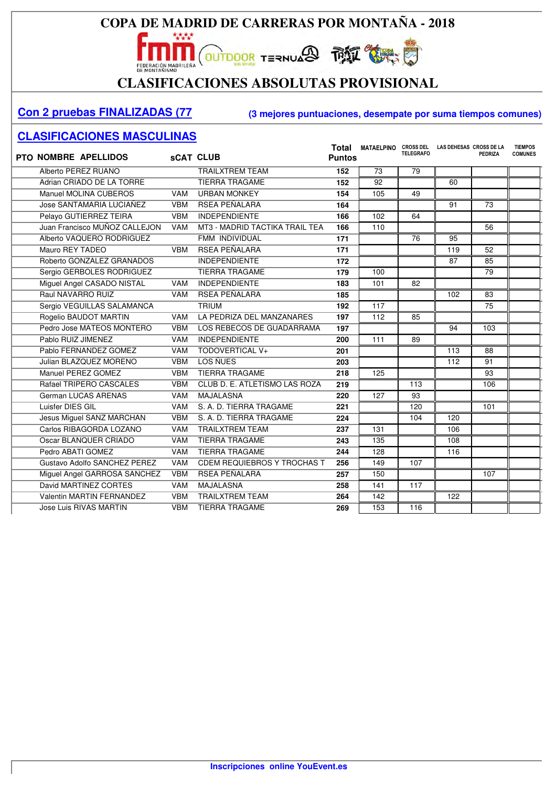

# CLASIFICACIONES ABSOLUTAS PROVISIONAL

#### **Con 2 pruebas FINALIZADAS (77 (3 mejores puntuaciones, desempate por suma tiempos comunes)**

| <b>PTO NOMBRE APELLIDOS</b>   |            | <b>sCAT CLUB</b>                   | Total<br><b>Puntos</b> | <b>MATAELPINO</b> | <b>CROSS DEL</b><br><b>TELEGRAFO</b> | LAS DEHESAS CROSS DE LA | <b>PEDRIZA</b> | <b>TIEMPOS</b><br><b>COMUNES</b> |
|-------------------------------|------------|------------------------------------|------------------------|-------------------|--------------------------------------|-------------------------|----------------|----------------------------------|
| Alberto PEREZ RUANO           |            | <b>TRAILXTREM TEAM</b>             | 152                    | 73                | 79                                   |                         |                |                                  |
| Adrian CRIADO DE LA TORRE     |            | <b>TIERRA TRAGAME</b>              | 152                    | $\overline{92}$   |                                      | 60                      |                |                                  |
| Manuel MOLINA CUBEROS         | <b>VAM</b> | <b>URBAN MONKEY</b>                | 154                    | 105               | 49                                   |                         |                |                                  |
| Jose SANTAMARIA LUCIAÑEZ      | <b>VBM</b> | <b>RSEA PEÑALARA</b>               | 164                    |                   |                                      | 91                      | 73             |                                  |
| Pelayo GUTIERREZ TEIRA        | <b>VBM</b> | <b>INDEPENDIENTE</b>               | 166                    | 102               | 64                                   |                         |                |                                  |
| Juan Francisco MUÑOZ CALLEJON | <b>VAM</b> | MT3 - MADRID TACTIKA TRAIL TEA     | 166                    | 110               |                                      |                         | 56             |                                  |
| Alberto VAQUERO RODRIGUEZ     |            | FMM INDIVIDUAL                     | 171                    |                   | 76                                   | 95                      |                |                                  |
| Mauro REY TADEO               | <b>VBM</b> | RSEA PEÑALARA                      | 171                    |                   |                                      | 119                     | 52             |                                  |
| Roberto GONZALEZ GRANADOS     |            | <b>INDEPENDIENTE</b>               | 172                    |                   |                                      | 87                      | 85             |                                  |
| Sergio GERBOLES RODRIGUEZ     |            | <b>TIERRA TRAGAME</b>              | 179                    | 100               |                                      |                         | 79             |                                  |
| Miguel Angel CASADO NISTAL    | <b>VAM</b> | <b>INDEPENDIENTE</b>               | 183                    | 101               | 82                                   |                         |                |                                  |
| Raul NAVARRO RUIZ             | <b>VAM</b> | RSEA PEÑALARA                      | 185                    |                   |                                      | 102                     | 83             |                                  |
| Sergio VEGUILLAS SALAMANCA    |            | <b>TRIUM</b>                       | 192                    | 117               |                                      |                         | 75             |                                  |
| Rogelio BAUDOT MARTIN         | <b>VAM</b> | LA PEDRIZA DEL MANZANARES          | 197                    | 112               | 85                                   |                         |                |                                  |
| Pedro Jose MATEOS MONTERO     | <b>VBM</b> | LOS REBECOS DE GUADARRAMA          | 197                    |                   |                                      | 94                      | 103            |                                  |
| Pablo RUIZ JIMENEZ            | <b>VAM</b> | <b>INDEPENDIENTE</b>               | 200                    | 111               | 89                                   |                         |                |                                  |
| Pablo FERNANDEZ GOMEZ         | <b>VAM</b> | TODOVERTICAL V+                    | 201                    |                   |                                      | 113                     | 88             |                                  |
| Julian BLAZQUEZ MORENO        | <b>VBM</b> | LOS ÑUES                           | 203                    |                   |                                      | 112                     | 91             |                                  |
| Manuel PEREZ GOMEZ            | <b>VBM</b> | <b>TIERRA TRAGAME</b>              | 218                    | 125               |                                      |                         | 93             |                                  |
| Rafael TRIPERO CASCALES       | <b>VBM</b> | CLUB D. E. ATLETISMO LAS ROZA      | 219                    |                   | 113                                  |                         | 106            |                                  |
| German LUCAS ARENAS           | <b>VAM</b> | <b>MAJALASNA</b>                   | 220                    | 127               | 93                                   |                         |                |                                  |
| Luisfer DIES GIL              | <b>VAM</b> | S. A. D. TIERRA TRAGAME            | 221                    |                   | 120                                  |                         | 101            |                                  |
| Jesus Miguel SANZ MARCHAN     | <b>VBM</b> | S. A. D. TIERRA TRAGAME            | 224                    |                   | 104                                  | 120                     |                |                                  |
| Carlos RIBAGORDA LOZANO       | <b>VAM</b> | <b>TRAILXTREM TEAM</b>             | 237                    | 131               |                                      | 106                     |                |                                  |
| Oscar BLANQUER CRIADO         | <b>VAM</b> | <b>TIERRA TRAGAME</b>              | 243                    | 135               |                                      | 108                     |                |                                  |
| Pedro ABATI GOMEZ             | <b>VAM</b> | <b>TIERRA TRAGAME</b>              | 244                    | 128               |                                      | 116                     |                |                                  |
| Gustavo Adolfo SANCHEZ PEREZ  | <b>VAM</b> | <b>CDEM REQUIEBROS Y TROCHAS T</b> | 256                    | 149               | 107                                  |                         |                |                                  |
| Miguel Angel GARROSA SANCHEZ  | <b>VBM</b> | RSEA PEÑALARA                      | 257                    | 150               |                                      |                         | 107            |                                  |
| David MARTINEZ CORTES         | <b>VAM</b> | <b>MAJALASNA</b>                   | 258                    | 141               | 117                                  |                         |                |                                  |
| Valentin MARTIN FERNANDEZ     | <b>VBM</b> | <b>TRAILXTREM TEAM</b>             | 264                    | 142               |                                      | 122                     |                |                                  |
| Jose Luis RIVAS MARTIN        | <b>VBM</b> | <b>TIERRA TRAGAME</b>              | 269                    | 153               | 116                                  |                         |                |                                  |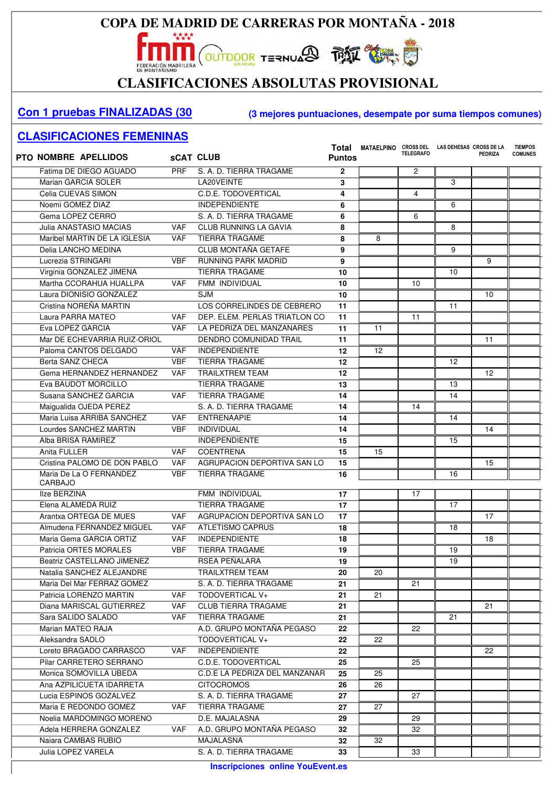

# CLASIFICACIONES ABSOLUTAS PROVISIONAL

#### **Con 1 pruebas FINALIZADAS (30 (3 mejores puntuaciones, desempate por suma tiempos comunes)**

#### **CLASIFICACIONES FEMENINAS**

 $\overline{\phantom{a}}$ 

| <b>PTO NOMBRE APELLIDOS</b> |                              | <b>SCAT CLUB</b> |                               | <b>Puntos</b> | Total MATAELPINO CROSS DEL LAS DEHESAS CROSS DE LA | <b>TELEGRAFO</b> |    | <b>PEDRIZA</b> | <b>TIEMPOS</b><br><b>COMUNES</b> |
|-----------------------------|------------------------------|------------------|-------------------------------|---------------|----------------------------------------------------|------------------|----|----------------|----------------------------------|
|                             | Fatima DE DIEGO AGUADO       | <b>PRF</b>       | S. A. D. TIERRA TRAGAME       | $\mathbf{2}$  |                                                    | $\overline{2}$   |    |                |                                  |
| Marian GARCIA SOLER         |                              |                  | LA20VEINTE                    | 3             |                                                    |                  | 3  |                |                                  |
| Celia CUEVAS SIMON          |                              |                  | C.D.E. TODOVERTICAL           | 4             |                                                    | 4                |    |                |                                  |
| Noemi GOMEZ DIAZ            |                              |                  | <b>INDEPENDIENTE</b>          | 6             |                                                    |                  | 6  |                |                                  |
| Gema LOPEZ CERRO            |                              |                  | S. A. D. TIERRA TRAGAME       | 6             |                                                    | 6                |    |                |                                  |
| Julia ANASTASIO MACIAS      |                              | <b>VAF</b>       | <b>CLUB RUNNING LA GAVIA</b>  | 8             |                                                    |                  | 8  |                |                                  |
|                             | Maribel MARTIN DE LA IGLESIA | <b>VAF</b>       | <b>TIERRA TRAGAME</b>         | 8             | 8                                                  |                  |    |                |                                  |
| Delia LANCHO MEDINA         |                              |                  | CLUB MONTAÑA GETAFE           | 9             |                                                    |                  | 9  |                |                                  |
| Lucrezia STRINGARI          |                              | <b>VBF</b>       | <b>RUNNING PARK MADRID</b>    | 9             |                                                    |                  |    | 9              |                                  |
| Virginia GONZALEZ JIMENA    |                              |                  | <b>TIERRA TRAGAME</b>         | 10            |                                                    |                  | 10 |                |                                  |
|                             | Martha CCORAHUA HUALLPA      | <b>VAF</b>       | FMM INDIVIDUAL                | 10            |                                                    | 10               |    |                |                                  |
|                             | Laura DIONISIO GONZALEZ      |                  | <b>SJM</b>                    | 10            |                                                    |                  |    | 10             |                                  |
| Cristina NOREÑA MARTIN      |                              |                  | LOS CORRELINDES DE CEBRERO    | 11            |                                                    |                  | 11 |                |                                  |
| Laura PARRA MATEO           |                              | <b>VAF</b>       | DEP. ELEM. PERLAS TRIATLON CO | 11            |                                                    | 11               |    |                |                                  |
| Eva LOPEZ GARCIA            |                              | <b>VAF</b>       | LA PEDRIZA DEL MANZANARES     | 11            | 11                                                 |                  |    |                |                                  |
|                             | Mar DE ECHEVARRIA RUIZ-ORIOL |                  | <b>DENDRO COMUNIDAD TRAIL</b> | 11            |                                                    |                  |    | 11             |                                  |
|                             | Paloma CANTOS DELGADO        | <b>VAF</b>       | <b>INDEPENDIENTE</b>          | 12            | 12                                                 |                  |    |                |                                  |
| Berta SANZ CHECA            |                              | <b>VBF</b>       | <b>TIERRA TRAGAME</b>         | 12            |                                                    |                  | 12 |                |                                  |
|                             | Gema HERNANDEZ HERNANDEZ     | <b>VAF</b>       | <b>TRAILXTREM TEAM</b>        | 12            |                                                    |                  |    | 12             |                                  |
| Eva BAUDOT MORCILLO         |                              |                  | <b>TIERRA TRAGAME</b>         | 13            |                                                    |                  | 13 |                |                                  |
| Susana SANCHEZ GARCIA       |                              | <b>VAF</b>       | <b>TIERRA TRAGAME</b>         | 14            |                                                    |                  | 14 |                |                                  |
| Maigualida OJEDA PEREZ      |                              |                  | S. A. D. TIERRA TRAGAME       | 14            |                                                    | 14               |    |                |                                  |
|                             | Maria Luisa ARRIBA SANCHEZ   | <b>VAF</b>       | <b>ENTRENAAPIE</b>            | 14            |                                                    |                  | 14 |                |                                  |
| Lourdes SANCHEZ MARTIN      |                              | <b>VBF</b>       | <b>INDIVIDUAL</b>             | 14            |                                                    |                  |    | 14             |                                  |
| Alba BRISA RAMIREZ          |                              |                  | <b>INDEPENDIENTE</b>          | 15            |                                                    |                  | 15 |                |                                  |
| Anita FULLER                |                              | <b>VAF</b>       | <b>COENTRENA</b>              | 15            | 15                                                 |                  |    |                |                                  |
|                             | Cristina PALOMO DE DON PABLO | <b>VAF</b>       | AGRUPACION DEPORTIVA SAN LO   | 15            |                                                    |                  |    | 15             |                                  |
| CARBAJO                     | Maria De La O FERNANDEZ      | <b>VBF</b>       | <b>TIERRA TRAGAME</b>         | 16            |                                                    |                  | 16 |                |                                  |
| <b>Ilze BERZINA</b>         |                              |                  | FMM INDIVIDUAL                | 17            |                                                    | 17               |    |                |                                  |
| Elena ALAMEDA RUIZ          |                              |                  | <b>TIERRA TRAGAME</b>         | 17            |                                                    |                  | 17 |                |                                  |
| Arantxa ORTEGA DE MUES      |                              | <b>VAF</b>       | AGRUPACION DEPORTIVA SAN LO   | 17            |                                                    |                  |    | 17             |                                  |
|                             | Almudena FERNANDEZ MIGUEL    | <b>VAF</b>       | <b>ATLETISMO CAPRUS</b>       | 18            |                                                    |                  | 18 |                |                                  |
|                             | Maria Gema GARCIA ORTIZ      | <b>VAF</b>       | <b>INDEPENDIENTE</b>          | 18            |                                                    |                  |    | 18             |                                  |
| Patricia ORTES MORALES      |                              | <b>VBF</b>       | <b>TIERRA TRAGAME</b>         | 19            |                                                    |                  | 19 |                |                                  |
|                             | Beatriz CASTELLANO JIMENEZ   |                  | RSEA PEÑALARA                 | 19            |                                                    |                  | 19 |                |                                  |
|                             | Natalia SANCHEZ ALEJANDRE    |                  | <b>TRAILXTREM TEAM</b>        | 20            | 20                                                 |                  |    |                |                                  |
|                             | Maria Del Mar FERRAZ GOMEZ   |                  | S. A. D. TIERRA TRAGAME       | 21            |                                                    | 21               |    |                |                                  |
| Patricia LORENZO MARTIN     |                              | <b>VAF</b>       | TODOVERTICAL V+               | 21            | 21                                                 |                  |    |                |                                  |
|                             | Diana MARISCAL GUTIERREZ     | VAF.             | <b>CLUB TIERRA TRAGAME</b>    | 21            |                                                    |                  |    | 21             |                                  |
| Sara SALIDO SALADO          |                              | VAF.             | <b>TIERRA TRAGAME</b>         | 21            |                                                    |                  | 21 |                |                                  |
| Marian MATEO RAJA           |                              |                  | A.D. GRUPO MONTAÑA PEGASO     | 22            |                                                    | 22               |    |                |                                  |
| Aleksandra SADLO            |                              |                  | TODOVERTICAL V+               | 22            | 22                                                 |                  |    |                |                                  |
|                             | Loreto BRAGADO CARRASCO      | VAF.             | <b>INDEPENDIENTE</b>          | 22            |                                                    |                  |    | 22             |                                  |
|                             | Pilar CARRETERO SERRANO      |                  | C.D.E. TODOVERTICAL           | 25            |                                                    | 25               |    |                |                                  |
|                             | Monica SOMOVILLA UBEDA       |                  | C.D.E LA PEDRIZA DEL MANZANAR | 25            | 25                                                 |                  |    |                |                                  |
|                             | Ana AZPILICUETA IDARRETA     |                  | <b>CITOCROMOS</b>             | 26            | 26                                                 |                  |    |                |                                  |
|                             | Lucia ESPINOS GOZALVEZ       |                  | S. A. D. TIERRA TRAGAME       | 27            |                                                    | 27               |    |                |                                  |
|                             | Maria E REDONDO GOMEZ        | <b>VAF</b>       | <b>TIERRA TRAGAME</b>         | 27            | 27                                                 |                  |    |                |                                  |
|                             | Noelia MARDOMINGO MORENO     |                  | D.E. MAJALASNA                | 29            |                                                    | 29               |    |                |                                  |
|                             | Adela HERRERA GONZALEZ       | VAF.             | A.D. GRUPO MONTAÑA PEGASO     | 32            |                                                    | 32               |    |                |                                  |
| Naiara CAMBAS RUBIO         |                              |                  | MAJALASNA                     | 32            | 32                                                 |                  |    |                |                                  |
| Julia LOPEZ VARELA          |                              |                  | S. A. D. TIERRA TRAGAME       | 33            |                                                    | 33               |    |                |                                  |
|                             |                              |                  |                               |               |                                                    |                  |    |                |                                  |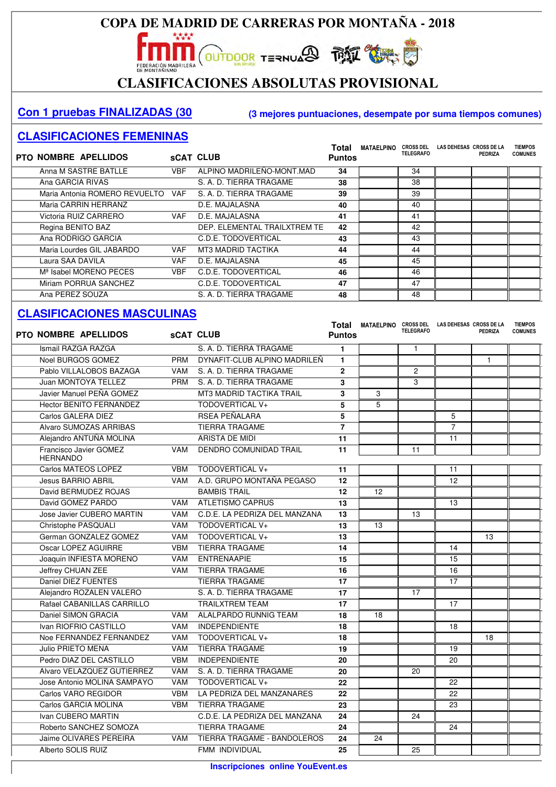# **CLASIFICACIONES ABSOLUTAS PROVISIONAL**

#### **Con 1 pruebas FINALIZADAS (30 (3 mejores puntuaciones, desempate por suma tiempos comunes)**

#### **CLASIFICACIONES FEMENINAS**

| PTO NOMBRE APELLIDOS               |            | <b>sCAT CLUB</b>             | <b>Total</b><br><b>Puntos</b> | <b>MATAELPINO</b> | <b>CROSS DEL</b><br><b>TELEGRAFO</b> | LAS DEHESAS CROSS DE LA | PEDRIZA | <b>TIEMPOS</b><br><b>COMUNES</b> |
|------------------------------------|------------|------------------------------|-------------------------------|-------------------|--------------------------------------|-------------------------|---------|----------------------------------|
| Anna M SASTRE BATLLE               | VBF        | ALPINO MADRILEÑO-MONT.MAD    | 34                            |                   | 34                                   |                         |         |                                  |
| Ana GARCIA RIVAS                   |            | S. A. D. TIERRA TRAGAME      | 38                            |                   | 38                                   |                         |         |                                  |
| Maria Antonia ROMERO REVUELTO VAF  |            | S. A. D. TIERRA TRAGAME      | 39                            |                   | 39                                   |                         |         |                                  |
| Maria CARRIN HERRANZ               |            | D.E. MAJALASNA               | 40                            |                   | 40                                   |                         |         |                                  |
| Victoria RUIZ CARRERO              | <b>VAF</b> | D.E. MAJALASNA               | 41                            |                   | 41                                   |                         |         |                                  |
| Regina BENITO BAZ                  |            | DEP. ELEMENTAL TRAILXTREM TE | 42                            |                   | 42                                   |                         |         |                                  |
| Ana RODRIGO GARCIA                 |            | C.D.E. TODOVERTICAL          | 43                            |                   | 43                                   |                         |         |                                  |
| Maria Lourdes GIL JABARDO          | VAF.       | <b>MT3 MADRID TACTIKA</b>    | 44                            |                   | 44                                   |                         |         |                                  |
| Laura SAA DAVILA                   | <b>VAF</b> | D.E. MAJALASNA               | 45                            |                   | 45                                   |                         |         |                                  |
| M <sup>ª</sup> Isabel MORENO PECES | <b>VBF</b> | C.D.E. TODOVERTICAL          | 46                            |                   | 46                                   |                         |         |                                  |
| Miriam PORRUA SANCHEZ              |            | C.D.E. TODOVERTICAL          | 47                            |                   | 47                                   |                         |         |                                  |
| Ana PEREZ SOUZA                    |            | S. A. D. TIERRA TRAGAME      | 48                            |                   | 48                                   |                         |         |                                  |

| <b>PTO NOMBRE APELLIDOS</b>               |            | <b>sCAT CLUB</b>              | <b>Puntos</b>  | Total MATAELPINO CROSS DEL LAS DEHESAS CROSS DE LA | <b>TELEGRAFO</b> |                 | <b>PEDRIZA</b> | <b>TIEMPOS</b><br><b>COMUNES</b> |
|-------------------------------------------|------------|-------------------------------|----------------|----------------------------------------------------|------------------|-----------------|----------------|----------------------------------|
| Ismail RAZGA RAZGA                        |            | S. A. D. TIERRA TRAGAME       | $\mathbf{1}$   |                                                    | $\mathbf{1}$     |                 |                |                                  |
| Noel BURGOS GOMEZ                         | <b>PRM</b> | DYNAFIT-CLUB ALPINO MADRILEÑ  | $\mathbf{1}$   |                                                    |                  |                 | $\mathbf{1}$   |                                  |
| Pablo VILLALOBOS BAZAGA                   | <b>VAM</b> | S. A. D. TIERRA TRAGAME       | $\mathbf{2}$   |                                                    | $\overline{2}$   |                 |                |                                  |
| Juan MONTOYA TELLEZ                       | <b>PRM</b> | S. A. D. TIERRA TRAGAME       | 3              |                                                    | 3                |                 |                |                                  |
| Javier Manuel PEÑA GOMEZ                  |            | MT3 MADRID TACTIKA TRAIL      | 3              | 3                                                  |                  |                 |                |                                  |
| <b>Hector BENITO FERNANDEZ</b>            |            | TODOVERTICAL V+               | 5              | 5                                                  |                  |                 |                |                                  |
| Carlos GALERA DIEZ                        |            | RSEA PEÑALARA                 | 5              |                                                    |                  | 5               |                |                                  |
| Alvaro SUMOZAS ARRIBAS                    |            | <b>TIERRA TRAGAME</b>         | $\overline{7}$ |                                                    |                  | $\overline{7}$  |                |                                  |
| Alejandro ANTUÑA MOLINA                   |            | ARISTA DE MIDI                | 11             |                                                    |                  | 11              |                |                                  |
| Francisco Javier GOMEZ<br><b>HERNANDO</b> | <b>VAM</b> | <b>DENDRO COMUNIDAD TRAIL</b> | 11             |                                                    | 11               |                 |                |                                  |
| Carlos MATEOS LOPEZ                       | <b>VBM</b> | TODOVERTICAL V+               | 11             |                                                    |                  | 11              |                |                                  |
| <b>Jesus BARRIO ABRIL</b>                 | <b>VAM</b> | A.D. GRUPO MONTAÑA PEGASO     | 12             |                                                    |                  | 12              |                |                                  |
| David BERMUDEZ ROJAS                      |            | <b>BAMBIS TRAIL</b>           | 12             | 12                                                 |                  |                 |                |                                  |
| David GOMEZ PARDO                         | <b>VAM</b> | <b>ATLETISMO CAPRUS</b>       | 13             |                                                    |                  | 13              |                |                                  |
| Jose Javier CUBERO MARTIN                 | <b>VAM</b> | C.D.E. LA PEDRIZA DEL MANZANA | 13             |                                                    | 13               |                 |                |                                  |
| Christophe PASQUALI                       | <b>VAM</b> | TODOVERTICAL V+               | 13             | 13                                                 |                  |                 |                |                                  |
| German GONZALEZ GOMEZ                     | <b>VAM</b> | TODOVERTICAL V+               | 13             |                                                    |                  |                 | 13             |                                  |
| <b>Oscar LOPEZ AGUIRRE</b>                | <b>VBM</b> | <b>TIERRA TRAGAME</b>         | 14             |                                                    |                  | 14              |                |                                  |
| Joaquin INFIESTA MORENO                   | <b>VAM</b> | <b>ENTRENAAPIE</b>            | 15             |                                                    |                  | 15              |                |                                  |
| Jeffrey CHUAN ZEE                         | <b>VAM</b> | <b>TIERRA TRAGAME</b>         | 16             |                                                    |                  | 16              |                |                                  |
| <b>Daniel DIEZ FUENTES</b>                |            | <b>TIERRA TRAGAME</b>         | 17             |                                                    |                  | $\overline{17}$ |                |                                  |
| Alejandro ROZALEN VALERO                  |            | S. A. D. TIERRA TRAGAME       | 17             |                                                    | 17               |                 |                |                                  |
| Rafael CABANILLAS CARRILLO                |            | <b>TRAILXTREM TEAM</b>        | 17             |                                                    |                  | $\overline{17}$ |                |                                  |
| Daniel SIMON GRACIA                       | <b>VAM</b> | ALALPARDO RUNNIG TEAM         | 18             | 18                                                 |                  |                 |                |                                  |
| Ivan RIOFRIO CASTILLO                     | <b>VAM</b> | <b>INDEPENDIENTE</b>          | 18             |                                                    |                  | 18              |                |                                  |
| Noe FERNANDEZ FERNANDEZ                   | VAM        | TODOVERTICAL V+               | 18             |                                                    |                  |                 | 18             |                                  |
| Julio PRIETO MENA                         | <b>VAM</b> | <b>TIERRA TRAGAME</b>         | 19             |                                                    |                  | 19              |                |                                  |
| Pedro DIAZ DEL CASTILLO                   | <b>VBM</b> | <b>INDEPENDIENTE</b>          | 20             |                                                    |                  | 20              |                |                                  |
| Alvaro VELAZQUEZ GUTIERREZ                | <b>VAM</b> | S. A. D. TIERRA TRAGAME       | 20             |                                                    | 20               |                 |                |                                  |
| Jose Antonio MOLINA SAMPAYO               | <b>VAM</b> | <b>TODOVERTICAL V+</b>        | 22             |                                                    |                  | 22              |                |                                  |
| Carlos VARO REGIDOR                       | <b>VBM</b> | LA PEDRIZA DEL MANZANARES     | 22             |                                                    |                  | 22              |                |                                  |
| Carlos GARCIA MOLINA                      | <b>VBM</b> | <b>TIERRA TRAGAME</b>         | 23             |                                                    |                  | 23              |                |                                  |
| Ivan CUBERO MARTIN                        |            | C.D.E. LA PEDRIZA DEL MANZANA | 24             |                                                    | 24               |                 |                |                                  |
| Roberto SANCHEZ SOMOZA                    |            | <b>TIERRA TRAGAME</b>         | 24             |                                                    |                  | 24              |                |                                  |
| Jaime OLIVARES PEREIRA                    | <b>VAM</b> | TIERRA TRAGAME - BANDOLEROS   | 24             | 24                                                 |                  |                 |                |                                  |
| Alberto SOLIS RUIZ                        |            | FMM INDIVIDUAL                | 25             |                                                    | 25               |                 |                |                                  |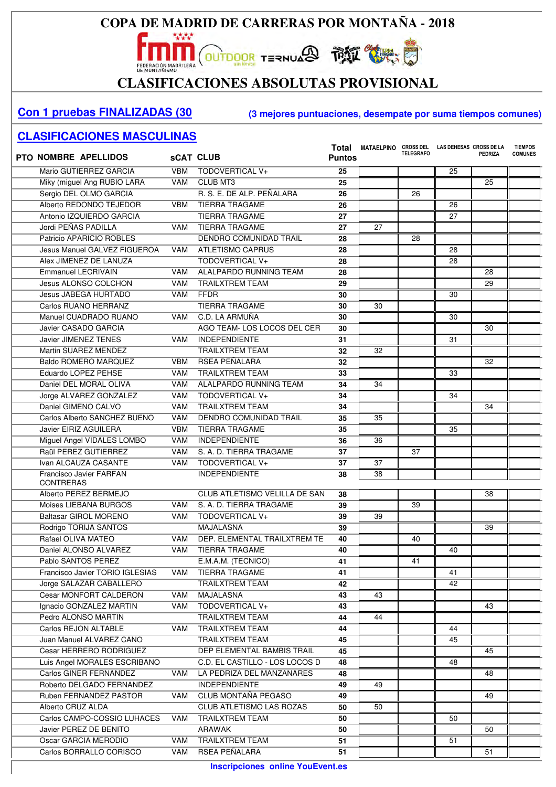# CLASIFICACIONES ABSOLUTAS PROVISIONAL

#### **Con 1 pruebas FINALIZADAS (30 (3 mejores puntuaciones, desempate por suma tiempos comunes)**

| <b>PTO NOMBRE APELLIDOS</b>     |            | <b>SCAT CLUB</b>                     | Total<br><b>Puntos</b> | MATAELPINO      | <b>TELEGRAFO</b> | CROSS DEL LAS DEHESAS CROSS DE LA | PEDRIZA | <b>TIEMPOS</b><br><b>COMUNES</b> |
|---------------------------------|------------|--------------------------------------|------------------------|-----------------|------------------|-----------------------------------|---------|----------------------------------|
| Mario GUTIERREZ GARCIA          | <b>VBM</b> | <b>TODOVERTICAL V+</b>               | 25                     |                 |                  | 25                                |         |                                  |
| Miky (miguel Ang RUBIO LARA     | <b>VAM</b> | <b>CLUB MT3</b>                      | 25                     |                 |                  |                                   | 25      |                                  |
| Sergio DEL OLMO GARCIA          |            | R. S. E. DE ALP. PEÑALARA            | 26                     |                 | 26               |                                   |         |                                  |
| Alberto REDONDO TEJEDOR         | <b>VBM</b> | <b>TIERRA TRAGAME</b>                | 26                     |                 |                  | 26                                |         |                                  |
| Antonio IZQUIERDO GARCIA        |            | <b>TIERRA TRAGAME</b>                | 27                     |                 |                  | 27                                |         |                                  |
| Jordi PEÑAS PADILLA             | <b>VAM</b> | <b>TIERRA TRAGAME</b>                | 27                     | 27              |                  |                                   |         |                                  |
| Patricio APARICIO ROBLES        |            | <b>DENDRO COMUNIDAD TRAIL</b>        | 28                     |                 | 28               |                                   |         |                                  |
| Jesus Manuel GALVEZ FIGUEROA    | VAM        | ATLETISMO CAPRUS                     | 28                     |                 |                  | 28                                |         |                                  |
| Alex JIMENEZ DE LANUZA          |            | TODOVERTICAL V+                      | 28                     |                 |                  | 28                                |         |                                  |
| <b>Emmanuel LECRIVAIN</b>       | <b>VAM</b> | ALALPARDO RUNNING TEAM               | 28                     |                 |                  |                                   | 28      |                                  |
| <b>Jesus ALONSO COLCHON</b>     | <b>VAM</b> | <b>TRAILXTREM TEAM</b>               | 29                     |                 |                  |                                   | 29      |                                  |
| <b>Jesus JABEGA HURTADO</b>     | <b>VAM</b> | <b>FFDR</b>                          | 30                     |                 |                  | 30                                |         |                                  |
| Carlos RUANO HERRANZ            |            | <b>TIERRA TRAGAME</b>                | 30                     | 30              |                  |                                   |         |                                  |
| Manuel CUADRADO RUANO           | <b>VAM</b> | C.D. LA ARMUÑA                       | 30                     |                 |                  | 30                                |         |                                  |
| Javier CASADO GARCIA            |            | AGO TEAM-LOS LOCOS DEL CER           | 30                     |                 |                  |                                   | 30      |                                  |
| Javier JIMENEZ TENES            | <b>VAM</b> | <b>INDEPENDIENTE</b>                 | 31                     |                 |                  | 31                                |         |                                  |
| Martin SUAREZ MENDEZ            |            | <b>TRAILXTREM TEAM</b>               | 32                     | 32              |                  |                                   |         |                                  |
| Baldo ROMERO MARQUEZ            | <b>VBM</b> | RSEA PEÑALARA                        | 32                     |                 |                  |                                   | 32      |                                  |
| Eduardo LOPEZ PEHSE             | <b>VAM</b> | <b>TRAILXTREM TEAM</b>               | 33                     |                 |                  | 33                                |         |                                  |
| Daniel DEL MORAL OLIVA          | <b>VAM</b> | ALALPARDO RUNNING TEAM               | 34                     | 34              |                  |                                   |         |                                  |
| Jorge ALVAREZ GONZALEZ          | <b>VAM</b> | TODOVERTICAL V+                      | 34                     |                 |                  | 34                                |         |                                  |
| Daniel GIMENO CALVO             | <b>VAM</b> | <b>TRAILXTREM TEAM</b>               | 34                     |                 |                  |                                   | 34      |                                  |
| Carlos Alberto SANCHEZ BUENO    | <b>VAM</b> | <b>DENDRO COMUNIDAD TRAIL</b>        | 35                     | 35              |                  |                                   |         |                                  |
| Javier EIRIZ AGUILERA           | <b>VBM</b> | <b>TIERRA TRAGAME</b>                | 35                     |                 |                  | 35                                |         |                                  |
| Miguel Angel VIDALES LOMBO      | <b>VAM</b> | <b>INDEPENDIENTE</b>                 | 36                     | 36              |                  |                                   |         |                                  |
| Raül PEREZ GUTIERREZ            | <b>VAM</b> | S. A. D. TIERRA TRAGAME              | 37                     |                 | 37               |                                   |         |                                  |
| Ivan ALCAUZA CASANTE            | <b>VAM</b> | TODOVERTICAL V+                      | 37                     | 37              |                  |                                   |         |                                  |
| Francisco Javier FARFAN         |            | <b>INDEPENDIENTE</b>                 | 38                     | 38              |                  |                                   |         |                                  |
| <b>CONTRERAS</b>                |            |                                      |                        |                 |                  |                                   |         |                                  |
| Alberto PEREZ BERMEJO           |            | <b>CLUB ATLETISMO VELILLA DE SAN</b> | 38                     |                 |                  |                                   | 38      |                                  |
| Moises LIEBANA BURGOS           | VAM        | S. A. D. TIERRA TRAGAME              | 39                     |                 | 39               |                                   |         |                                  |
| <b>Baltasar GIROL MORENO</b>    | VAM        | TODOVERTICAL V+                      | 39                     | $\overline{39}$ |                  |                                   |         |                                  |
| Rodrigo TORIJA SANTOS           |            | <b>MAJALASNA</b>                     | 39                     |                 |                  |                                   | 39      |                                  |
| Rafael OLIVA MATEO              | VAM        | DEP. ELEMENTAL TRAILXTREM TE         | 40                     |                 | 40               |                                   |         |                                  |
| Daniel ALONSO ALVAREZ           | VAM        | <b>TIERRA TRAGAME</b>                | 40                     |                 |                  | 40                                |         |                                  |
| Pablo SANTOS PEREZ              |            | E.M.A.M. (TECNICO)                   | 41                     |                 | 41               |                                   |         |                                  |
| Francisco Javier TORIO IGLESIAS | VAM        | <b>TIERRA TRAGAME</b>                | 41                     |                 |                  | 41                                |         |                                  |
| Jorge SALAZAR CABALLERO         |            | <b>TRAILXTREM TEAM</b>               | 42                     |                 |                  | 42                                |         |                                  |
| Cesar MONFORT CALDERON          | VAM        | <b>MAJALASNA</b>                     | 43                     | 43              |                  |                                   |         |                                  |
| Ignacio GONZALEZ MARTIN         | VAM        | TODOVERTICAL V+                      | 43                     |                 |                  |                                   | 43      |                                  |
| Pedro ALONSO MARTIN             |            | TRAILXTREM TEAM                      | 44                     | 44              |                  |                                   |         |                                  |
| Carlos REJON ALTABLE            | VAM        | <b>TRAILXTREM TEAM</b>               | 44                     |                 |                  | 44                                |         |                                  |
| Juan Manuel ALVAREZ CANO        |            | <b>TRAILXTREM TEAM</b>               | 45                     |                 |                  | 45                                |         |                                  |
| Cesar HERRERO RODRIGUEZ         |            | DEP ELEMENTAL BAMBIS TRAIL           | 45                     |                 |                  |                                   | 45      |                                  |
| Luis Angel MORALES ESCRIBANO    |            | C.D. EL CASTILLO - LOS LOCOS D       | 48                     |                 |                  | 48                                |         |                                  |
| Carlos GINER FERNANDEZ          | VAM        | LA PEDRIZA DEL MANZANARES            | 48                     |                 |                  |                                   | 48      |                                  |
| Roberto DELGADO FERNANDEZ       |            | <b>INDEPENDIENTE</b>                 | 49                     | 49              |                  |                                   |         |                                  |
| Ruben FERNANDEZ PASTOR          | VAM        | CLUB MONTAÑA PEGASO                  | 49                     |                 |                  |                                   | 49      |                                  |
| Alberto CRUZ ALDA               |            | CLUB ATLETISMO LAS ROZAS             | 50                     | 50              |                  |                                   |         |                                  |
| Carlos CAMPO-COSSIO LUHACES     | VAM        | <b>TRAILXTREM TEAM</b>               | 50                     |                 |                  | 50                                |         |                                  |
| Javier PEREZ DE BENITO          |            | ARAWAK                               | 50                     |                 |                  |                                   | 50      |                                  |
| Oscar GARCIA MERODIO            | VAM        | <b>TRAILXTREM TEAM</b>               | 51                     |                 |                  | 51                                |         |                                  |
| Carlos BORRALLO CORISCO         | VAM        | RSEA PEÑALARA                        | 51                     |                 |                  |                                   | 51      |                                  |
|                                 |            |                                      |                        |                 |                  |                                   |         |                                  |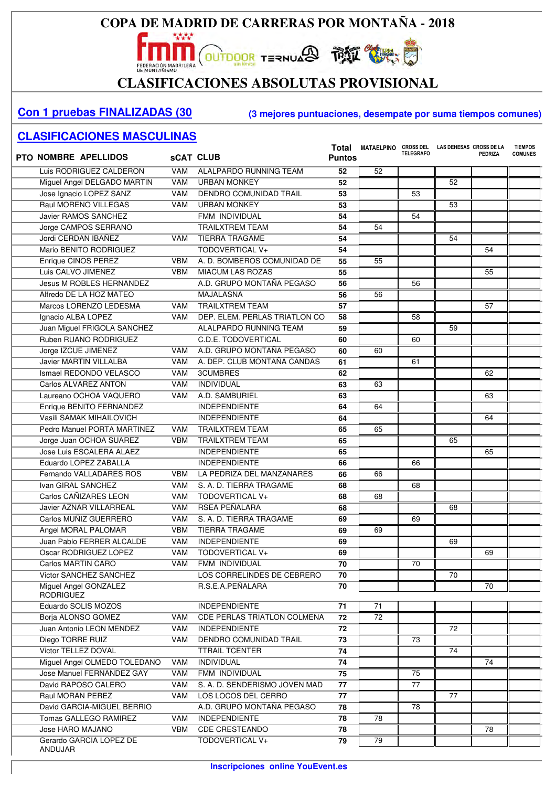

## **CLASIFICACIONES ABSOLUTAS PROVISIONAL**

#### **Con 1 pruebas FINALIZADAS (30 (3 mejores puntuaciones, desempate por suma tiempos comunes)**

| <b>PTO NOMBRE APELLIDOS</b>     |            | <b>SCAT CLUB</b>                               | Total<br><b>Puntos</b> | MATAELPINO CROSS DEL | <b>TELEGRAFO</b> | LAS DEHESAS CROSS DE LA | <b>PEDRIZA</b> | <b>TIEMPOS</b><br><b>COMUNES</b> |
|---------------------------------|------------|------------------------------------------------|------------------------|----------------------|------------------|-------------------------|----------------|----------------------------------|
| Luis RODRIGUEZ CALDERON         | <b>VAM</b> | ALALPARDO RUNNING TEAM                         | 52                     | 52                   |                  |                         |                |                                  |
| Miguel Angel DELGADO MARTIN     | <b>VAM</b> | <b>URBAN MONKEY</b>                            | 52                     |                      |                  | 52                      |                |                                  |
| Jose Ignacio LOPEZ SANZ         | <b>VAM</b> | DENDRO COMUNIDAD TRAIL                         | 53                     |                      | 53               |                         |                |                                  |
| Raul MORENO VILLEGAS            | <b>VAM</b> | <b>URBAN MONKEY</b>                            | 53                     |                      |                  | 53                      |                |                                  |
| Javier RAMOS SANCHEZ            |            | FMM INDIVIDUAL                                 | 54                     |                      | 54               |                         |                |                                  |
| Jorge CAMPOS SERRANO            |            | <b>TRAILXTREM TEAM</b>                         | 54                     | 54                   |                  |                         |                |                                  |
| Jordi CERDAN IBAÑEZ             | <b>VAM</b> | <b>TIERRA TRAGAME</b>                          | 54                     |                      |                  | 54                      |                |                                  |
| Mario BENITO RODRIGUEZ          |            | TODOVERTICAL V+                                | 54                     |                      |                  |                         | 54             |                                  |
| Enrique CINOS PEREZ             | <b>VBM</b> | A. D. BOMBEROS COMUNIDAD DE                    | 55                     | 55                   |                  |                         |                |                                  |
| Luis CALVO JIMENEZ              | <b>VBM</b> | MIACUM LAS ROZAS                               | 55                     |                      |                  |                         | 55             |                                  |
| <b>Jesus M ROBLES HERNANDEZ</b> |            | A.D. GRUPO MONTAÑA PEGASO                      | 56                     |                      | 56               |                         |                |                                  |
| Alfredo DE LA HOZ MATEO         |            | MAJALASNA                                      | 56                     | 56                   |                  |                         |                |                                  |
| Marcos LORENZO LEDESMA          | <b>VAM</b> | <b>TRAILXTREM TEAM</b>                         | 57                     |                      |                  |                         | 57             |                                  |
| Ignacio ALBA LOPEZ              | <b>VAM</b> | DEP. ELEM. PERLAS TRIATLON CO                  | 58                     |                      | 58               |                         |                |                                  |
| Juan Miguel FRIGOLA SANCHEZ     |            | ALALPARDO RUNNING TEAM                         | 59                     |                      |                  | 59                      |                |                                  |
| Ruben RUANO RODRIGUEZ           |            | C.D.E. TODOVERTICAL                            | 60                     |                      | 60               |                         |                |                                  |
| Jorge IZCUE JIMENEZ             | <b>VAM</b> | A.D. GRUPO MONTAÑA PEGASO                      | 60                     | 60                   |                  |                         |                |                                  |
| Javier MARTIN VILLALBA          | <b>VAM</b> | A. DEP. CLUB MONTAÑA CANDAS                    | 61                     |                      | 61               |                         |                |                                  |
| Ismael REDONDO VELASCO          | <b>VAM</b> | <b>3CUMBRES</b>                                | 62                     |                      |                  |                         | 62             |                                  |
| Carlos ALVAREZ ANTON            | <b>VAM</b> | <b>INDIVIDUAL</b>                              | 63                     | 63                   |                  |                         |                |                                  |
| Laureano OCHOA VAQUERO          | <b>VAM</b> | A.D. SAMBURIEL                                 | 63                     |                      |                  |                         | 63             |                                  |
| Enrique BENITO FERNANDEZ        |            | <b>INDEPENDIENTE</b>                           | 64                     | 64                   |                  |                         |                |                                  |
| Vasili SAMAK MIHAILOVICH        |            | <b>INDEPENDIENTE</b>                           | 64                     |                      |                  |                         | 64             |                                  |
| Pedro Manuel PORTA MARTINEZ     | <b>VAM</b> | <b>TRAILXTREM TEAM</b>                         | 65                     | 65                   |                  |                         |                |                                  |
| Jorge Juan OCHOA SUAREZ         | <b>VBM</b> | <b>TRAILXTREM TEAM</b>                         | 65                     |                      |                  | 65                      |                |                                  |
| Jose Luis ESCALERA ALAEZ        |            | <b>INDEPENDIENTE</b>                           | 65                     |                      |                  |                         | 65             |                                  |
| Eduardo LOPEZ ZABALLA           |            | <b>INDEPENDIENTE</b>                           | 66                     |                      | 66               |                         |                |                                  |
| Fernando VALLADARES ROS         | <b>VBM</b> | LA PEDRIZA DEL MANZANARES                      | 66                     | 66                   |                  |                         |                |                                  |
| Ivan GIRAL SANCHEZ              | <b>VAM</b> | S. A. D. TIERRA TRAGAME                        | 68                     |                      | 68               |                         |                |                                  |
| Carlos CAÑIZARES LEON           | <b>VAM</b> | TODOVERTICAL V+                                | 68                     | 68                   |                  |                         |                |                                  |
| <b>Javier AZNAR VILLARREAL</b>  | <b>VAM</b> | RSEA PEÑALARA                                  | 68                     |                      |                  | 68                      |                |                                  |
| Carlos MUÑIZ GUERRERO           | <b>VAM</b> | S. A. D. TIERRA TRAGAME                        | 69                     |                      | 69               |                         |                |                                  |
| Angel MORAL PALOMAR             | <b>VBM</b> | <b>TIERRA TRAGAME</b>                          | 69                     | 69                   |                  |                         |                |                                  |
| Juan Pablo FERRER ALCALDE       | <b>VAM</b> | <b>INDEPENDIENTE</b>                           | 69                     |                      |                  |                         |                |                                  |
| Oscar RODRIGUEZ LOPEZ           | <b>VAM</b> | TODOVERTICAL V+                                | 69                     |                      |                  | 69                      | 69             |                                  |
| Carlos MARTIN CARO              | <b>VAM</b> | FMM INDIVIDUAL                                 | $\overline{70}$        |                      | $\overline{70}$  |                         |                |                                  |
| Victor SANCHEZ SANCHEZ          |            |                                                |                        |                      |                  | 70                      |                |                                  |
| Miguel Angel GONZALEZ           |            | LOS CORRELINDES DE CEBRERO<br>R.S.E.A.PEÑALARA | 70<br>70               |                      |                  |                         | 70             |                                  |
| <b>RODRIGUEZ</b>                |            |                                                |                        |                      |                  |                         |                |                                  |
| Eduardo SOLIS MOZOS             |            | <b>INDEPENDIENTE</b>                           | 71                     | 71                   |                  |                         |                |                                  |
| Borja ALONSO GOMEZ              | VAM        | CDE PERLAS TRIATLON COLMENA                    | 72                     | $\overline{72}$      |                  |                         |                |                                  |
| Juan Antonio LEON MENDEZ        | VAM        | <b>INDEPENDIENTE</b>                           | 72                     |                      |                  | 72                      |                |                                  |
| Diego TORRE RUIZ                | VAM        | DENDRO COMUNIDAD TRAIL                         | 73                     |                      | 73               |                         |                |                                  |
| Victor TELLEZ DOVAL             |            | <b>TTRAIL TCENTER</b>                          | 74                     |                      |                  | 74                      |                |                                  |
| Miguel Angel OLMEDO TOLEDANO    | VAM        | INDIVIDUAL                                     | 74                     |                      |                  |                         | 74             |                                  |
| Jose Manuel FERNANDEZ GAY       | VAM        | FMM INDIVIDUAL                                 | 75                     |                      | 75               |                         |                |                                  |
| David RAPOSO CALERO             | VAM        | S. A. D. SENDERISMO JOVEN MAD                  | 77                     |                      | 77               |                         |                |                                  |
| Raul MORAN PEREZ                | <b>VAM</b> | LOS LOCOS DEL CERRO                            | 77                     |                      |                  | 77                      |                |                                  |
| David GARCIA-MIGUEL BERRIO      |            | A.D. GRUPO MONTAÑA PEGASO                      | 78                     |                      | 78               |                         |                |                                  |
| Tomas GALLEGO RAMIREZ           | VAM        | <b>INDEPENDIENTE</b>                           | 78                     | 78                   |                  |                         |                |                                  |
| Jose HARO MAJANO                | VBM        | <b>CDE CRESTEANDO</b>                          | 78                     |                      |                  |                         | 78             |                                  |
| Gerardo GARCIA LOPEZ DE         |            | TODOVERTICAL V+                                | 79                     | 79                   |                  |                         |                |                                  |
| ANDUJAR                         |            |                                                |                        |                      |                  |                         |                |                                  |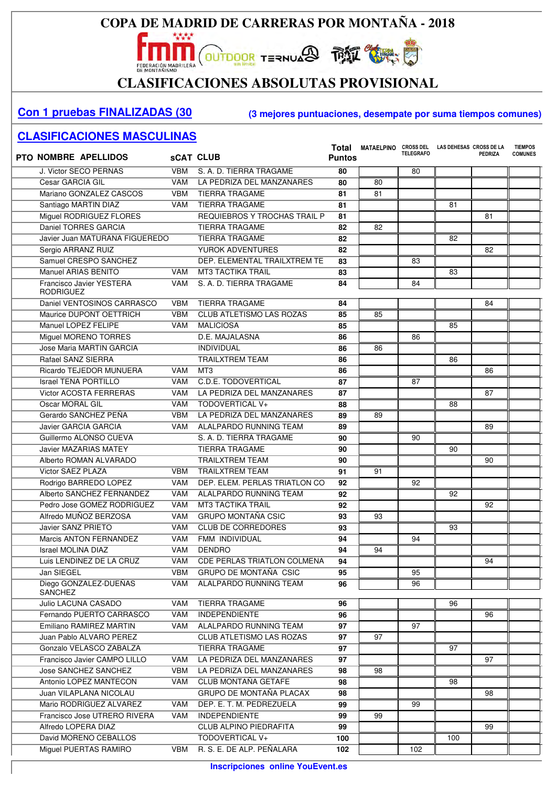

## CLASIFICACIONES ABSOLUTAS PROVISIONAL

#### **Con 1 pruebas FINALIZADAS (30 (3 mejores puntuaciones, desempate por suma tiempos comunes)**

| <b>PTO NOMBRE APELLIDOS</b>                  |            | <b>SCAT CLUB</b>                   | Total<br><b>Puntos</b> | <b>MATAELPINO</b> | <b>CROSS DEL</b><br><b>TELEGRAFO</b> | LAS DEHESAS CROSS DE LA | <b>PEDRIZA</b> | <b>TIEMPOS</b><br><b>COMUNES</b> |
|----------------------------------------------|------------|------------------------------------|------------------------|-------------------|--------------------------------------|-------------------------|----------------|----------------------------------|
| J. Victor SECO PERNAS                        | <b>VBM</b> | S. A. D. TIERRA TRAGAME            | 80                     |                   | 80                                   |                         |                |                                  |
| Cesar GARCIA GIL                             | <b>VAM</b> | LA PEDRIZA DEL MANZANARES          | 80                     | 80                |                                      |                         |                |                                  |
| Mariano GONZALEZ CASCOS                      | <b>VBM</b> | <b>TIERRA TRAGAME</b>              | 81                     | 81                |                                      |                         |                |                                  |
| Santiago MARTIN DIAZ                         | VAM        | <b>TIERRA TRAGAME</b>              | 81                     |                   |                                      | 81                      |                |                                  |
| Miguel RODRIGUEZ FLORES                      |            | REQUIEBROS Y TROCHAS TRAIL P       | 81                     |                   |                                      |                         | 81             |                                  |
| Daniel TORRES GARCIA                         |            | <b>TIERRA TRAGAME</b>              | 82                     | 82                |                                      |                         |                |                                  |
| Javier Juan MATURANA FIGUEREDO               |            | <b>TIERRA TRAGAME</b>              | 82                     |                   |                                      | 82                      |                |                                  |
| Sergio ARRANZ RUIZ                           |            | YUROK ADVENTURES                   | 82                     |                   |                                      |                         | 82             |                                  |
| Samuel CRESPO SANCHEZ                        |            | DEP. ELEMENTAL TRAILXTREM TE       | 83                     |                   | 83                                   |                         |                |                                  |
| Manuel ARIAS BENITO                          | VAM        | <b>MT3 TACTIKA TRAIL</b>           | 83                     |                   |                                      | 83                      |                |                                  |
| Francisco Javier YESTERA<br><b>RODRIGUEZ</b> | <b>VAM</b> | S. A. D. TIERRA TRAGAME            | 84                     |                   | 84                                   |                         |                |                                  |
| Daniel VENTOSINOS CARRASCO                   | <b>VBM</b> | <b>TIERRA TRAGAME</b>              | 84                     |                   |                                      |                         | 84             |                                  |
| Maurice DUPONT OETTRICH                      | <b>VBM</b> | <b>CLUB ATLETISMO LAS ROZAS</b>    | 85                     | 85                |                                      |                         |                |                                  |
| Manuel LOPEZ FELIPE                          | VAM        | <b>MALICIOSA</b>                   | 85                     |                   |                                      | 85                      |                |                                  |
| Miguel MORENO TORRES                         |            | D.E. MAJALASNA                     | 86                     |                   | 86                                   |                         |                |                                  |
| Jose Maria MARTIN GARCIA                     |            | <b>INDIVIDUAL</b>                  | 86                     | 86                |                                      |                         |                |                                  |
| Rafael SANZ SIERRA                           |            | <b>TRAILXTREM TEAM</b>             | 86                     |                   |                                      | 86                      |                |                                  |
| Ricardo TEJEDOR MUNUERA                      | VAM        | MT <sub>3</sub>                    | 86                     |                   |                                      |                         | 86             |                                  |
| <b>Israel TENA PORTILLO</b>                  | VAM        | <b>C.D.E. TODOVERTICAL</b>         | 87                     |                   | 87                                   |                         |                |                                  |
| <b>Victor ACOSTA FERRERAS</b>                | VAM        | LA PEDRIZA DEL MANZANARES          | 87                     |                   |                                      |                         | 87             |                                  |
| Oscar MORAL GIL                              | VAM        | TODOVERTICAL V+                    | 88                     |                   |                                      | 88                      |                |                                  |
| Gerardo SANCHEZ PEÑA                         | <b>VBM</b> | LA PEDRIZA DEL MANZANARES          | 89                     | 89                |                                      |                         |                |                                  |
| <b>Javier GARCIA GARCIA</b>                  | VAM        | ALALPARDO RUNNING TEAM             | 89                     |                   |                                      |                         | 89             |                                  |
| Guillermo ALONSO CUEVA                       |            | S. A. D. TIERRA TRAGAME            | 90                     |                   | 90                                   |                         |                |                                  |
| <b>Javier MAZARIAS MATEY</b>                 |            | <b>TIERRA TRAGAME</b>              | 90                     |                   |                                      | 90                      |                |                                  |
| Alberto ROMAN ALVARADO                       |            | <b>TRAILXTREM TEAM</b>             | 90                     |                   |                                      |                         | 90             |                                  |
| Victor SAEZ PLAZA                            | <b>VBM</b> | <b>TRAILXTREM TEAM</b>             | 91                     | 91                |                                      |                         |                |                                  |
| Rodrigo BARREDO LOPEZ                        | VAM        | DEP. ELEM. PERLAS TRIATLON CO      | 92                     |                   | 92                                   |                         |                |                                  |
| Alberto SANCHEZ FERNANDEZ                    | VAM        | ALALPARDO RUNNING TEAM             | 92                     |                   |                                      | 92                      |                |                                  |
| Pedro Jose GOMEZ RODRIGUEZ                   | VAM        | <b>MT3 TACTIKA TRAIL</b>           | 92                     |                   |                                      |                         | 92             |                                  |
| Alfredo MUÑOZ BERZOSA                        | VAM        | <b>GRUPO MONTAÑA CSIC</b>          | 93                     | $\overline{93}$   |                                      |                         |                |                                  |
| Javier SANZ PRIETO                           | VAM        | <b>CLUB DE CORREDORES</b>          | 93                     |                   |                                      | 93                      |                |                                  |
| Marcis ANTON FERNANDEZ                       | VAM        | FMM INDIVIDUAL                     | 94                     |                   | 94                                   |                         |                |                                  |
| <b>Israel MOLINA DIAZ</b>                    | <b>VAM</b> | <b>DENDRO</b>                      | 94                     | 94                |                                      |                         |                |                                  |
| Luis LENDINEZ DE LA CRUZ                     | VAM        | <b>CDE PERLAS TRIATLON COLMENA</b> | 94                     |                   |                                      |                         | 94             |                                  |
| Jan SIEGEL                                   | <b>VBM</b> | GRUPO DE MONTAÑA CSIC              | 95                     |                   | 95                                   |                         |                |                                  |
| Diego GONZALEZ-DUEÑAS<br><b>SANCHEZ</b>      | VAM        | <b>ALALPARDO RUNNING TEAM</b>      | 96                     |                   | 96                                   |                         |                |                                  |
| Julio LACUNA CASADO                          | VAM        | <b>TIERRA TRAGAME</b>              | 96                     |                   |                                      | 96                      |                |                                  |
| Fernando PUERTO CARRASCO                     | VAM        | <b>INDEPENDIENTE</b>               | 96                     |                   |                                      |                         | 96             |                                  |
| Emiliano RAMIREZ MARTIN                      | VAM        | ALALPARDO RUNNING TEAM             | 97                     |                   | 97                                   |                         |                |                                  |
| Juan Pablo ALVARO PEREZ                      |            | CLUB ATLETISMO LAS ROZAS           | 97                     | 97                |                                      |                         |                |                                  |
| Gonzalo VELASCO ZABALZA                      |            | <b>TIERRA TRAGAME</b>              | 97                     |                   |                                      | 97                      |                |                                  |
| Francisco Javier CAMPO LILLO                 | VAM        | LA PEDRIZA DEL MANZANARES          | 97                     |                   |                                      |                         | 97             |                                  |
| Jose SANCHEZ SANCHEZ                         | <b>VBM</b> | LA PEDRIZA DEL MANZANARES          | 98                     | 98                |                                      |                         |                |                                  |
| Antonio LOPEZ MANTECON                       | VAM        | CLUB MONTAÑA GETAFE                | 98                     |                   |                                      | 98                      |                |                                  |
| Juan VILAPLANA NICOLAU                       |            | <b>GRUPO DE MONTAÑA PLACAX</b>     | 98                     |                   |                                      |                         | 98             |                                  |
| Mario RODRIGUEZ ALVAREZ                      | VAM        | DEP. E. T. M. PEDREZUELA           | 99                     |                   | 99                                   |                         |                |                                  |
| Francisco Jose UTRERO RIVERA                 | VAM        | <b>INDEPENDIENTE</b>               | 99                     | 99                |                                      |                         |                |                                  |
| Alfredo LOPERA DIAZ                          |            | CLUB ALPINO PIEDRAFITA             | 99                     |                   |                                      |                         | 99             |                                  |
| David MORENO CEBALLOS                        |            | TODOVERTICAL V+                    | 100                    |                   |                                      | 100                     |                |                                  |
| Miguel PUERTAS RAMIRO                        | VBM        | R. S. E. DE ALP. PEÑALARA          | 102                    |                   | 102                                  |                         |                |                                  |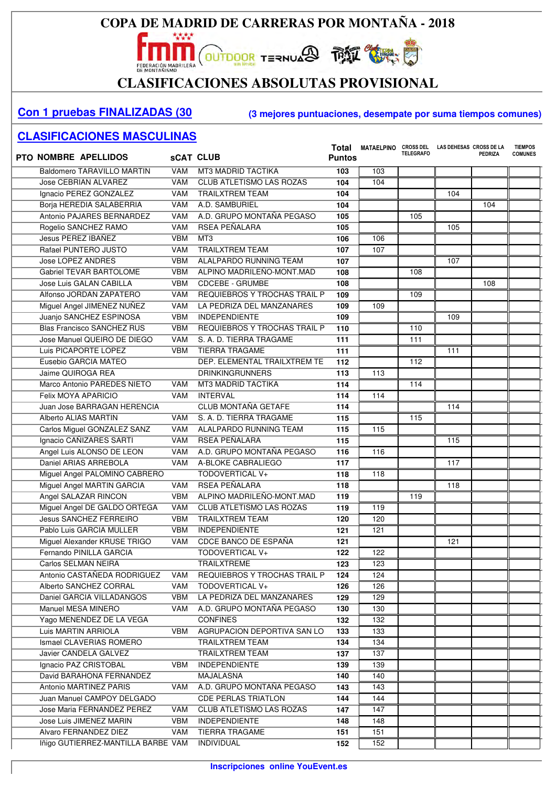

# CLASIFICACIONES ABSOLUTAS PROVISIONAL

#### **Con 1 pruebas FINALIZADAS (30 (3 mejores puntuaciones, desempate por suma tiempos comunes)**

| <b>PTO NOMBRE APELLIDOS</b>        |            | <b>SCAT CLUB</b>                | Total<br><b>Puntos</b> | <b>MATAELPINO</b> | <b>TELEGRAFO</b> | CROSS DEL LAS DEHESAS CROSS DE LA | <b>PEDRIZA</b> | <b>TIEMPOS</b><br><b>COMUNES</b> |
|------------------------------------|------------|---------------------------------|------------------------|-------------------|------------------|-----------------------------------|----------------|----------------------------------|
| <b>Baldomero TARAVILLO MARTIN</b>  | <b>VAM</b> | <b>MT3 MADRID TACTIKA</b>       | 103                    | 103               |                  |                                   |                |                                  |
| <b>Jose CEBRIAN ALVAREZ</b>        | <b>VAM</b> | <b>CLUB ATLETISMO LAS ROZAS</b> | 104                    | 104               |                  |                                   |                |                                  |
| Ignacio PEREZ GONZALEZ             | <b>VAM</b> | <b>TRAILXTREM TEAM</b>          | 104                    |                   |                  | 104                               |                |                                  |
| Borja HEREDIA SALABERRIA           | <b>VAM</b> | A.D. SAMBURIEL                  | 104                    |                   |                  |                                   | 104            |                                  |
| Antonio PAJARES BERNARDEZ          | <b>VAM</b> | A.D. GRUPO MONTAÑA PEGASO       | 105                    |                   | 105              |                                   |                |                                  |
| Rogelio SANCHEZ RAMO               | <b>VAM</b> | RSEA PEÑALARA                   | 105                    |                   |                  | 105                               |                |                                  |
| Jesus PEREZ IBAÑEZ                 | <b>VBM</b> | MT3                             | 106                    | 106               |                  |                                   |                |                                  |
| Rafael PUNTERO JUSTO               | <b>VAM</b> | <b>TRAILXTREM TEAM</b>          | 107                    | 107               |                  |                                   |                |                                  |
| Jose LOPEZ ANDRES                  | <b>VBM</b> | ALALPARDO RUNNING TEAM          | 107                    |                   |                  | 107                               |                |                                  |
| <b>Gabriel TEVAR BARTOLOME</b>     | <b>VBM</b> | ALPINO MADRILEÑO-MONT.MAD       | 108                    |                   | 108              |                                   |                |                                  |
| Jose Luis GALAN CABILLA            | <b>VBM</b> | <b>CDCEBE - GRUMBE</b>          | 108                    |                   |                  |                                   | 108            |                                  |
| Alfonso JORDAN ZAPATERO            | <b>VAM</b> | REQUIEBROS Y TROCHAS TRAIL P    | 109                    |                   | 109              |                                   |                |                                  |
| Miguel Angel JIMENEZ NUÑEZ         | <b>VAM</b> | LA PEDRIZA DEL MANZANARES       | 109                    | 109               |                  |                                   |                |                                  |
| Juanjo SANCHEZ ESPINOSA            | <b>VBM</b> | <b>INDEPENDIENTE</b>            | 109                    |                   |                  | 109                               |                |                                  |
| <b>Blas Francisco SANCHEZ RUS</b>  | <b>VBM</b> | REQUIEBROS Y TROCHAS TRAIL P    | 110                    |                   | 110              |                                   |                |                                  |
| Jose Manuel QUEIRO DE DIEGO        | <b>VAM</b> | S. A. D. TIERRA TRAGAME         | 111                    |                   | 111              |                                   |                |                                  |
| Luis PICAPORTE LOPEZ               | <b>VBM</b> | <b>TIERRA TRAGAME</b>           | 111                    |                   |                  | 111                               |                |                                  |
| Eusebio GARCIA MATEO               |            | DEP. ELEMENTAL TRAILXTREM TE    | 112                    |                   | 112              |                                   |                |                                  |
| Jaime QUIROGA REA                  |            | <b>DRINKINGRUNNERS</b>          | 113                    | 113               |                  |                                   |                |                                  |
| Marco Antonio PAREDES NIETO        | <b>VAM</b> | <b>MT3 MADRID TACTIKA</b>       | 114                    |                   | 114              |                                   |                |                                  |
| Felix MOYA APARICIO                | <b>VAM</b> | <b>INTERVAL</b>                 | 114                    | 114               |                  |                                   |                |                                  |
| Juan Jose BARRAGAN HERENCIA        |            | <b>CLUB MONTAÑA GETAFE</b>      | 114                    |                   |                  | 114                               |                |                                  |
| Alberto ALIAS MARTIN               | <b>VAM</b> | S. A. D. TIERRA TRAGAME         | 115                    |                   | 115              |                                   |                |                                  |
| Carlos Miguel GONZALEZ SANZ        | <b>VAM</b> | <b>ALALPARDO RUNNING TEAM</b>   | 115                    | 115               |                  |                                   |                |                                  |
| Ignacio CAÑIZARES SARTI            | <b>VAM</b> | RSEA PEÑALARA                   | 115                    |                   |                  | 115                               |                |                                  |
| Angel Luis ALONSO DE LEON          | <b>VAM</b> | A.D. GRUPO MONTAÑA PEGASO       | 116                    | 116               |                  |                                   |                |                                  |
| Daniel ARIAS ARREBOLA              | <b>VAM</b> | A-BLOKE CABRALIEGO              | 117                    |                   |                  | 117                               |                |                                  |
| Miguel Angel PALOMINO CABRERO      |            | TODOVERTICAL V+                 | 118                    | 118               |                  |                                   |                |                                  |
| Miguel Angel MARTIN GARCIA         | <b>VAM</b> | RSEA PEÑALARA                   | 118                    |                   |                  | 118                               |                |                                  |
| Angel SALAZAR RINCON               | <b>VBM</b> | ALPINO MADRILEÑO-MONT.MAD       | 119                    |                   | 119              |                                   |                |                                  |
| Miguel Angel DE GALDO ORTEGA       | <b>VAM</b> | CLUB ATLETISMO LAS ROZAS        | 119                    | 119               |                  |                                   |                |                                  |
| <b>Jesus SANCHEZ FERREIRO</b>      | <b>VBM</b> | <b>TRAILXTREM TEAM</b>          | 120                    | 120               |                  |                                   |                |                                  |
| Pablo Luis GARCIA MULLER           | <b>VBM</b> | <b>INDEPENDIENTE</b>            | 121                    | 121               |                  |                                   |                |                                  |
| Miguel Alexander KRUSE TRIGO       | <b>VAM</b> | CDCE BANCO DE ESPAÑA            | 121                    |                   |                  | 121                               |                |                                  |
| Fernando PINILLA GARCIA            |            | TODOVERTICAL V+                 | 122                    | 122               |                  |                                   |                |                                  |
| <b>Carlos SELMAN NEIRA</b>         |            | <b>TRAILXTREME</b>              | $\overline{123}$       | 123               |                  |                                   |                |                                  |
| Antonio CASTAÑEDA RODRIGUEZ        | VAM        | REQUIEBROS Y TROCHAS TRAIL P    | 124                    | 124               |                  |                                   |                |                                  |
| Alberto SANCHEZ CORRAL             | VAM        | TODOVERTICAL V+                 | 126                    | 126               |                  |                                   |                |                                  |
| Daniel GARCIA VILLADANGOS          | VBM        | LA PEDRIZA DEL MANZANARES       | 129                    | 129               |                  |                                   |                |                                  |
| Manuel MESA MINERO                 | VAM        | A.D. GRUPO MONTAÑA PEGASO       | 130                    | 130               |                  |                                   |                |                                  |
| Yago MENENDEZ DE LA VEGA           |            | <b>CONFINES</b>                 | 132                    | 132               |                  |                                   |                |                                  |
| Luis MARTIN ARRIOLA                | <b>VBM</b> | AGRUPACION DEPORTIVA SAN LO     | 133                    | 133               |                  |                                   |                |                                  |
| Ismael CLAVERIAS ROMERO            |            | <b>TRAILXTREM TEAM</b>          | 134                    | 134               |                  |                                   |                |                                  |
| Javier CANDELA GALVEZ              |            | <b>TRAILXTREM TEAM</b>          | 137                    | 137               |                  |                                   |                |                                  |
| Ignacio PAZ CRISTOBAL              | <b>VBM</b> | <b>INDEPENDIENTE</b>            | 139                    | 139               |                  |                                   |                |                                  |
| David BARAHONA FERNANDEZ           |            | MAJALASNA                       | 140                    | 140               |                  |                                   |                |                                  |
| Antonio MARTINEZ PARIS             | VAM        | A.D. GRUPO MONTAÑA PEGASO       | 143                    | 143               |                  |                                   |                |                                  |
| Juan Manuel CAMPOY DELGADO         |            | <b>CDE PERLAS TRIATLON</b>      | 144                    | 144               |                  |                                   |                |                                  |
| Jose Maria FERNANDEZ PEREZ         | VAM        | CLUB ATLETISMO LAS ROZAS        | 147                    | 147               |                  |                                   |                |                                  |
| Jose Luis JIMENEZ MARIN            | <b>VBM</b> | <b>INDEPENDIENTE</b>            | 148                    | 148               |                  |                                   |                |                                  |
| Alvaro FERNANDEZ DIEZ              | VAM        | <b>TIERRA TRAGAME</b>           | 151                    | 151               |                  |                                   |                |                                  |
| Iñigo GUTIERREZ-MANTILLA BARBE VAM |            | INDIVIDUAL                      | 152                    | 152               |                  |                                   |                |                                  |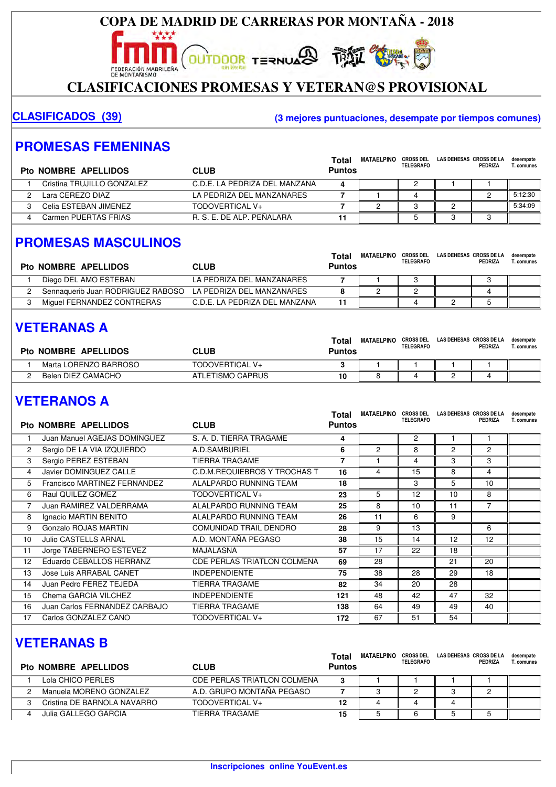FEDERACIÓN MADRILEÑA

#### **CLASIFICACIONES PROMESAS Y VETERAN@S PROVISIONAL**

**OUTDOOR TERNUARD THE SUBJECTION** 

#### **CLASIFICADOS (39) (3 mejores puntuaciones, desempate por tiempos comunes)**

#### **PROMESAS FEMENINAS**

| Pto NOMBRE APELLIDOS       | <b>CLUB</b>                   | Total<br><b>Puntos</b> | <b>MATAELPINO</b> | <b>CROSS DEL</b><br><b>TELEGRAFO</b> | LAS DEHESAS CROSS DE LA | PEDRIZA | desempate<br>Г. comunes |
|----------------------------|-------------------------------|------------------------|-------------------|--------------------------------------|-------------------------|---------|-------------------------|
| Cristina TRUJILLO GONZALEZ | C.D.E. LA PEDRIZA DEL MANZANA | 4                      |                   |                                      |                         |         |                         |
| Lara CEREZO DIAZ           | LA PEDRIZA DEL MANZANARES     |                        |                   |                                      |                         |         | 5:12:30                 |
| Celia ESTEBAN JIMENEZ      | TODOVERTICAL V+               |                        |                   |                                      |                         |         | 5:34:09                 |
| Carmen PUERTAS FRIAS       | R. S. F. DE ALP. PEÑALARA     |                        |                   |                                      |                         |         |                         |

#### **PROMESAS MASCULINOS**

| Pto NOMBRE APELLIDOS              | <b>CLUB</b>                   | Total<br><b>Puntos</b> | <b>MATAELPINO</b> | <b>CROSS DEL</b><br><b>TELEGRAFO</b> | LAS DEHESAS CROSS DE LA | PEDRIZA    | desempate<br>T. comunes |
|-----------------------------------|-------------------------------|------------------------|-------------------|--------------------------------------|-------------------------|------------|-------------------------|
| Diego DEL AMO ESTEBAN             | LA PEDRIZA DEL MANZANARES     |                        |                   |                                      |                         |            |                         |
| Sennaquerib Juan RODRIGUEZ RABOSO | LA PEDRIZA DEL MANZANARES     |                        |                   |                                      |                         | $\epsilon$ |                         |
| Miguel FERNANDEZ CONTRERAS        | C.D.E. LA PEDRIZA DEL MANZANA | 11                     |                   |                                      |                         |            |                         |

## **VETERANAS A**

| Pto NOMBRE APELLIDOS  | CLUB             | Total<br>Puntos | <b>MATAELPINO</b> | <b>CROSS DEL</b><br><b>TELEGRAFO</b> | LAS DEHESAS CROSS DE LA | <b>PEDRIZA</b> | desempate<br>Г. comunes |
|-----------------------|------------------|-----------------|-------------------|--------------------------------------|-------------------------|----------------|-------------------------|
| Marta LORENZO BARROSO | TODOVERTICAL V+  |                 |                   |                                      |                         |                |                         |
| Belen DIEZ CAMACHO    | ATLETISMO CAPRUS | 10              |                   |                                      | -                       |                |                         |

## **VETERANOS A**

|    | <b>Pto NOMBRE APELLIDOS</b>   | <b>CLUB</b>                        | Total<br><b>Puntos</b> | <b>MATAELPINO</b> | <b>CROSS DEL</b><br><b>TELEGRAFO</b> | LAS DEHESAS CROSS DE LA | <b>PEDRIZA</b> | desempate<br>T. comunes |
|----|-------------------------------|------------------------------------|------------------------|-------------------|--------------------------------------|-------------------------|----------------|-------------------------|
|    | Juan Manuel AGEJAS DOMINGUEZ  | S. A. D. TIERRA TRAGAME            | 4                      |                   | 2                                    |                         |                |                         |
| 2  | Sergio DE LA VIA IZQUIERDO    | A.D.SAMBURIEL                      | 6                      | $\overline{c}$    | 8                                    | 2                       | 2              |                         |
| 3  | Sergio PEREZ ESTEBAN          | <b>TIERRA TRAGAME</b>              | $\overline{7}$         |                   | 4                                    | 3                       | 3              |                         |
| 4  | Javier DOMINGUEZ CALLE        | C.D.M.REQUIEBROS Y TROCHAS T       | 16                     | 4                 | 15                                   | 8                       | 4              |                         |
| 5  | Francisco MARTINEZ FERNANDEZ  | ALALPARDO RUNNING TEAM             | 18                     |                   | 3                                    | 5                       | 10             |                         |
| 6  | Raul QUILEZ GOMEZ             | TODOVERTICAL V+                    | 23                     | 5                 | 12                                   | 10                      | 8              |                         |
| 7  | Juan RAMIREZ VALDERRAMA       | ALALPARDO RUNNING TEAM             | 25                     | 8                 | 10                                   | 11                      | 7              |                         |
| 8  | Ignacio MARTIN BENITO         | ALALPARDO RUNNING TEAM             | 26                     | 11                | 6                                    | 9                       |                |                         |
| 9  | Gonzalo ROJAS MARTIN          | <b>COMUNIDAD TRAIL DENDRO</b>      | 28                     | 9                 | 13                                   |                         | 6              |                         |
| 10 | <b>Julio CASTELLS ARNAL</b>   | A.D. MONTAÑA PEGASO                | 38                     | 15                | 14                                   | 12                      | 12             |                         |
| 11 | Jorge TABERNERO ESTEVEZ       | <b>MAJALASNA</b>                   | 57                     | 17                | 22                                   | 18                      |                |                         |
| 12 | Eduardo CEBALLOS HERRANZ      | <b>CDE PERLAS TRIATLON COLMENA</b> | 69                     | 28                |                                      | 21                      | 20             |                         |
| 13 | Jose Luis ARRABAL CANET       | <b>INDEPENDIENTE</b>               | 75                     | 38                | 28                                   | 29                      | 18             |                         |
| 14 | Juan Pedro FEREZ TEJEDA       | <b>TIERRA TRAGAME</b>              | 82                     | 34                | 20                                   | 28                      |                |                         |
| 15 | Chema GARCIA VILCHEZ          | <b>INDEPENDIENTE</b>               | 121                    | 48                | 42                                   | 47                      | 32             |                         |
| 16 | Juan Carlos FERNANDEZ CARBAJO | <b>TIERRA TRAGAME</b>              | 138                    | 64                | 49                                   | 49                      | 40             |                         |
| 17 | Carlos GONZALEZ CANO          | TODOVERTICAL V+                    | 172                    | 67                | 51                                   | 54                      |                |                         |

## **VETERANAS B**

| Pto NOMBRE APELLIDOS        | <b>CLUB</b>                        | Total<br><b>Puntos</b> | MATAELPINO | <b>CROSS DEL</b><br><b>TELEGRAFO</b> | LAS DEHESAS CROSS DE LA | PEDRIZA | desempate<br>T. comunes |
|-----------------------------|------------------------------------|------------------------|------------|--------------------------------------|-------------------------|---------|-------------------------|
| Lola CHICO PERLES           | <b>CDE PERLAS TRIATLON COLMENA</b> | 3                      |            |                                      |                         |         |                         |
| Manuela MORENO GONZALEZ     | A.D. GRUPO MONTAÑA PEGASO          |                        |            |                                      |                         |         |                         |
| Cristina DE BARNOLA NAVARRO | TODOVERTICAL V+                    | 12                     | 4          |                                      |                         |         |                         |
| Julia GALLEGO GARCIA        | TIERRA TRAGAME                     | 15                     |            |                                      |                         |         |                         |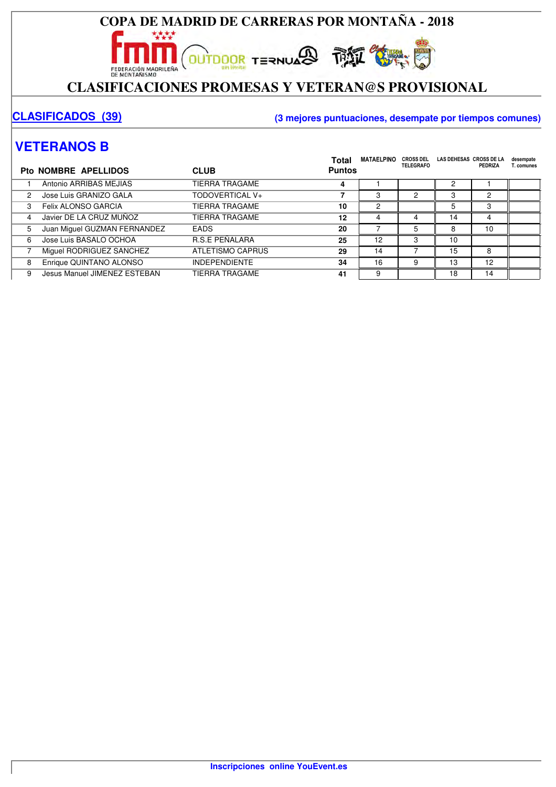#### **COPA DE MADRID DE CARRERAS POR MONTAÑA - 2018** \*\*\*\*

**OUTDOOR TERNUARD THE SUBJECTION** 

## EDERACIÓN MADRICAR **November 1999 - 1999 - 1999 - 1999 - 1999 - 1999 - 1999 - 1999 - 1999 - 1999 - 1999 - 1999 - 1999 - 1999 - 1999 - 1999 - 1999 - 1999 - 1999 - 1999 - 1999 - 1999 - 1999 - 1999 - 1999 - 1999 - 1999 - 1999**

#### **CLASIFICADOS (39) (3 mejores puntuaciones, desempate por tiempos comunes)**

### **VETERANOS B**

|   | Pto NOMBRE APELLIDOS         | <b>CLUB</b>           | Total<br><b>Puntos</b> | <b>MATAELPINO</b> | <b>CROSS DEL</b><br><b>TELEGRAFO</b> | LAS DEHESAS CROSS DE LA | PEDRIZA | desempate<br>T. comunes |
|---|------------------------------|-----------------------|------------------------|-------------------|--------------------------------------|-------------------------|---------|-------------------------|
|   | Antonio ARRIBAS MEJIAS       | TIERRA TRAGAME        | 4                      |                   |                                      |                         |         |                         |
| 2 | Jose Luis GRANIZO GALA       | TODOVERTICAL V+       |                        | 3                 | 2                                    | 3                       | 2       |                         |
| 3 | Felix ALONSO GARCIA          | TIERRA TRAGAME        | 10                     | 2                 |                                      |                         |         |                         |
| 4 | Javier DE LA CRUZ MUÑOZ      | <b>TIERRA TRAGAME</b> | 12                     | 4                 | 4                                    | 14                      | 4       |                         |
| 5 | Juan Miguel GUZMAN FERNANDEZ | <b>EADS</b>           | 20                     |                   |                                      | 8                       | 10      |                         |
| 6 | Jose Luis BASALO OCHOA       | <b>R.S.E PEÑALARA</b> | 25                     | 12                | 3                                    | 10                      |         |                         |
|   | Miguel RODRIGUEZ SANCHEZ     | ATLETISMO CAPRUS      | 29                     | 14                |                                      | 15                      | 8       |                         |
| 8 | Enrique QUINTANO ALONSO      | <b>INDEPENDIENTE</b>  | 34                     | 16                | 9                                    | 13                      | 12      |                         |
| 9 | Jesus Manuel JIMENEZ ESTEBAN | TIERRA TRAGAME        | 41                     | 9                 |                                      | 18                      | 14      |                         |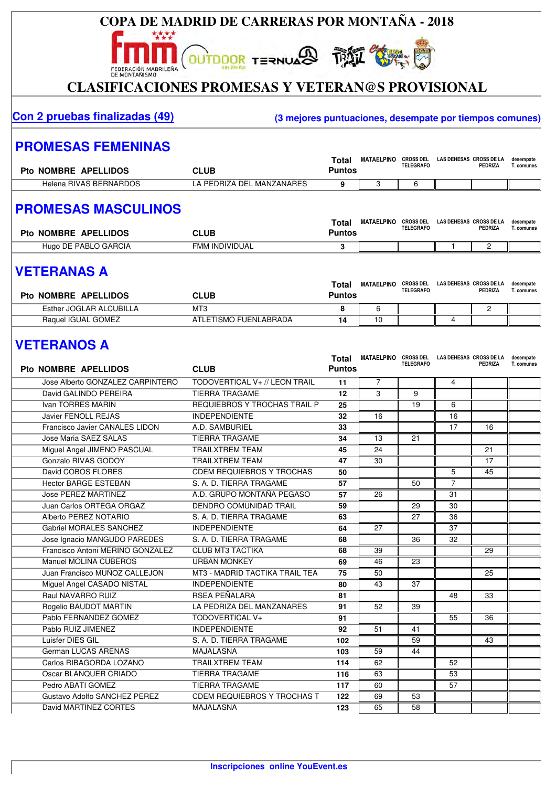

## EDERACIÓN MADRILEÑA **Na EL SOLO ESTADO EL CONTANDIDADEL DE SOLO EL CONTANDO EL CONTANDO EL CONTANDO EL CONTANDO EL CONTANDO EL CONTANDO EL CONTANDO EL CONTANDO EL CONTANDO EL CONTANDO EL CONTANDO EL CONTANDO EL CONTANDO EL**

#### **Con 2 pruebas finalizadas (49) (3 mejores puntuaciones, desempate por tiempos comunes)**

desempate

#### **PROMESAS FEMENINAS**

| Pto NOMBRE APELLIDOS   | <b>CLUB</b>               | Total<br>Puntos | <b>MATAELPINO</b> | <b>CROSS DEL</b><br><b>TELEGRAFO</b> | LAS DEHESAS CROSS DE LA<br>PEDRIZA | desempate<br>. . comunes |
|------------------------|---------------------------|-----------------|-------------------|--------------------------------------|------------------------------------|--------------------------|
| Helena RIVAS BERNARDOS | LA PEDRIZA DEL MANZANARES |                 |                   |                                      |                                    |                          |

#### **PROMESAS MASCULINOS**

| <b>Pto NOMBRE APELLIDOS</b> | CLUB                | Tota<br>⊃untos | <b>MATAELPINO</b> | <b>CROSS DEL</b><br><b>TELEGRAFO</b> | LAS DEHESAS CROSS DE LA | PEDRIZA | desempate<br>í. comunes |
|-----------------------------|---------------------|----------------|-------------------|--------------------------------------|-------------------------|---------|-------------------------|
| Hugo DE PABLO GARCIA        | ' INDIVIDUAL<br>FΜM |                |                   |                                      |                         | _       |                         |

#### **VETERANAS A**

| <b>Pto NOMBRE APELLIDOS</b> | <b>CLUB</b>           | Total<br>Puntos | <b>MATAELPINO</b> | <b>CROSS DEL</b><br><b>TELEGRAFO</b> | LAS DEHESAS CROSS DE LA | PEDRIZA | desempate<br>T. comunes |
|-----------------------------|-----------------------|-----------------|-------------------|--------------------------------------|-------------------------|---------|-------------------------|
| Esther JOGLAR ALCUBILLA     | MT3                   |                 |                   |                                      |                         |         |                         |
| Raquel IGUAL GOMEZ          | ATLETISMO FUENLABRADA | 14              | - 1               |                                      |                         |         |                         |

## **VETERANOS A**

|                                  |                                    | Total         | MATAELPINO CROSS DEL LAS DEHESAS CROSS DE LA | <b>TELEGRAFO</b> |                | <b>PEDRIZA</b> | desempate<br>T. comunes |
|----------------------------------|------------------------------------|---------------|----------------------------------------------|------------------|----------------|----------------|-------------------------|
| Pto NOMBRE APELLIDOS             | <b>CLUB</b>                        | <b>Puntos</b> |                                              |                  |                |                |                         |
| Jose Alberto GONZALEZ CARPINTERO | TODOVERTICAL V+ // LEON TRAIL      | 11            | $\overline{7}$                               |                  | 4              |                |                         |
| David GALINDO PEREIRA            | <b>TIERRA TRAGAME</b>              | 12            | 3                                            | 9                |                |                |                         |
| Ivan TORRES MARIN                | REQUIEBROS Y TROCHAS TRAIL P       | 25            |                                              | 19               | 6              |                |                         |
| Javier FENOLL REJAS              | <b>INDEPENDIENTE</b>               | 32            | 16                                           |                  | 16             |                |                         |
| Francisco Javier CANALES LIDON   | A.D. SAMBURIEL                     | 33            |                                              |                  | 17             | 16             |                         |
| Jose Maria SAEZ SALAS            | <b>TIERRA TRAGAME</b>              | 34            | 13                                           | 21               |                |                |                         |
| Miguel Angel JIMENO PASCUAL      | <b>TRAILXTREM TEAM</b>             | 45            | 24                                           |                  |                | 21             |                         |
| Gonzalo RIVAS GODOY              | <b>TRAILXTREM TEAM</b>             | 47            | 30                                           |                  |                | 17             |                         |
| David COBOS FLORES               | <b>CDEM REQUIEBROS Y TROCHAS</b>   | 50            |                                              |                  | 5              | 45             |                         |
| <b>Hector BARGE ESTEBAN</b>      | S. A. D. TIERRA TRAGAME            | 57            |                                              | 50               | $\overline{7}$ |                |                         |
| Jose PEREZ MARTINEZ              | A.D. GRUPO MONTAÑA PEGASO          | 57            | 26                                           |                  | 31             |                |                         |
| Juan Carlos ORTEGA ORGAZ         | DENDRO COMUNIDAD TRAIL             | 59            |                                              | 29               | 30             |                |                         |
| Alberto PEREZ NOTARIO            | S. A. D. TIERRA TRAGAME            | 63            |                                              | 27               | 36             |                |                         |
| <b>Gabriel MORALES SANCHEZ</b>   | <b>INDEPENDIENTE</b>               | 64            | 27                                           |                  | 37             |                |                         |
| Jose Ignacio MANGUDO PAREDES     | S. A. D. TIERRA TRAGAME            | 68            |                                              | 36               | 32             |                |                         |
| Francisco Antoni MERINO GONZALEZ | <b>CLUB MT3 TACTIKA</b>            | 68            | 39                                           |                  |                | 29             |                         |
| Manuel MOLINA CUBEROS            | <b>URBAN MONKEY</b>                | 69            | 46                                           | 23               |                |                |                         |
| Juan Francisco MUÑOZ CALLEJON    | MT3 - MADRID TACTIKA TRAIL TEA     | 75            | 50                                           |                  |                | 25             |                         |
| Miguel Angel CASADO NISTAL       | <b>INDEPENDIENTE</b>               | 80            | 43                                           | 37               |                |                |                         |
| Raul NAVARRO RUIZ                | RSEA PEÑALARA                      | 81            |                                              |                  | 48             | 33             |                         |
| Rogelio BAUDOT MARTIN            | LA PEDRIZA DEL MANZANARES          | 91            | 52                                           | $\overline{39}$  |                |                |                         |
| Pablo FERNANDEZ GOMEZ            | TODOVERTICAL V+                    | 91            |                                              |                  | 55             | 36             |                         |
| Pablo RUIZ JIMENEZ               | <b>INDEPENDIENTE</b>               | 92            | 51                                           | 41               |                |                |                         |
| Luisfer DIES GIL                 | S. A. D. TIERRA TRAGAME            | 102           |                                              | $\overline{59}$  |                | 43             |                         |
| <b>German LUCAS ARENAS</b>       | <b>MAJALASNA</b>                   | 103           | 59                                           | 44               |                |                |                         |
| Carlos RIBAGORDA LOZANO          | <b>TRAILXTREM TEAM</b>             | 114           | 62                                           |                  | 52             |                |                         |
| Oscar BLANQUER CRIADO            | <b>TIERRA TRAGAME</b>              | 116           | 63                                           |                  | 53             |                |                         |
| Pedro ABATI GOMEZ                | <b>TIERRA TRAGAME</b>              | 117           | 60                                           |                  | 57             |                |                         |
| Gustavo Adolfo SANCHEZ PEREZ     | <b>CDEM REQUIEBROS Y TROCHAS T</b> | 122           | 69                                           | 53               |                |                |                         |
| David MARTINEZ CORTES            | MAJALASNA                          | 123           | 65                                           | $\overline{58}$  |                |                |                         |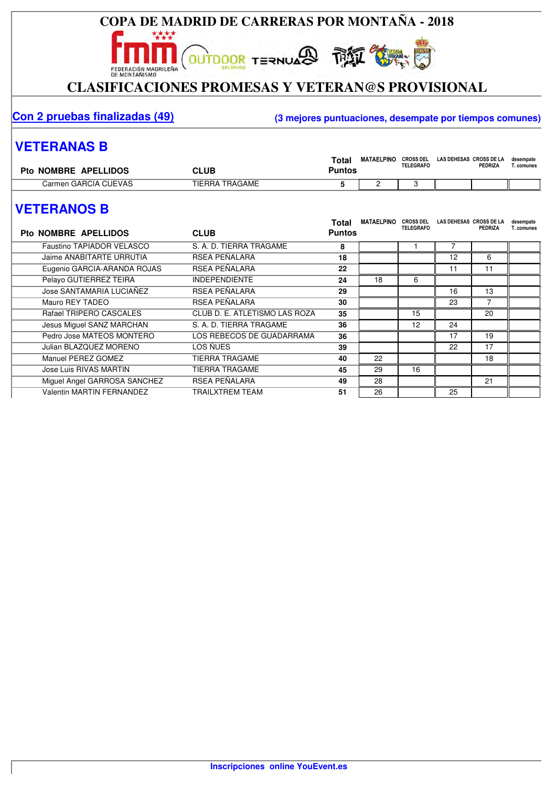

**OUTDOOR TERNUARD THE SUBJECTION** 

## EDERACIÓN MADRICAR **November 1999 - 1999 - 1999 - 1999 - 1999 - 1999 - 1999 - 1999 - 1999 - 1999 - 1999 - 1999 - 1999 - 1999 - 1999 - 1999 - 1999 - 1999 - 1999 - 1999 - 1999 - 1999 - 1999 - 1999 - 1999 - 1999 - 1999 - 1999**

#### **Con 2 pruebas finalizadas (49) (3 mejores puntuaciones, desempate por tiempos comunes)**

#### **VETERANAS B**

| Pto NOMBRE APELLIDOS | <b>CLUB</b>    | Total<br>יטי⊽ | <b>MATAELPINO</b> | <b>CROSS DEL</b><br><b>TELEGRAFO</b> | LAS DEHESAS CROSS DE LA<br>PEDRIZA | desempate<br>. comunes |
|----------------------|----------------|---------------|-------------------|--------------------------------------|------------------------------------|------------------------|
| Carmen GARCIA CUEVAS | TIERRA TRAGAME |               |                   |                                      |                                    |                        |

## **VETERANOS B**

| <b>Pto NOMBRE APELLIDOS</b>      | <b>CLUB</b>                   | Total<br><b>Puntos</b> | <b>MATAELPINO</b> | <b>CROSS DEL</b><br><b>TELEGRAFO</b> | LAS DEHESAS CROSS DE LA | <b>PEDRIZA</b> | desempate<br>T. comunes |
|----------------------------------|-------------------------------|------------------------|-------------------|--------------------------------------|-------------------------|----------------|-------------------------|
| Faustino TAPIADOR VELASCO        | S. A. D. TIERRA TRAGAME       | 8                      |                   |                                      |                         |                |                         |
| Jaime ANABITARTE URRUTIA         | RSEA PEÑALARA                 | 18                     |                   |                                      | 12                      | 6              |                         |
| Eugenio GARCIA-ARANDA ROJAS      | RSEA PEÑALARA                 | 22                     |                   |                                      | 11                      | 11             |                         |
| Pelayo GUTIERREZ TEIRA           | <b>INDEPENDIENTE</b>          | 24                     | 18                | 6                                    |                         |                |                         |
| Jose SANTAMARIA LUCIAÑEZ         | RSEA PEÑALARA                 | 29                     |                   |                                      | 16                      | 13             |                         |
| Mauro REY TADEO                  | RSEA PEÑALARA                 | 30                     |                   |                                      | 23                      | 7              |                         |
| Rafael TRIPERO CASCALES          | CLUB D. E. ATLETISMO LAS ROZA | 35                     |                   | 15                                   |                         | 20             |                         |
| Jesus Miguel SANZ MARCHAN        | S. A. D. TIERRA TRAGAME       | 36                     |                   | 12                                   | 24                      |                |                         |
| Pedro Jose MATEOS MONTERO        | LOS REBECOS DE GUADARRAMA     | 36                     |                   |                                      | 17                      | 19             |                         |
| Julian BLAZQUEZ MORENO           | LOS ÑUES                      | 39                     |                   |                                      | 22                      | 17             |                         |
| Manuel PEREZ GOMEZ               | <b>TIERRA TRAGAME</b>         | 40                     | 22                |                                      |                         | 18             |                         |
| Jose Luis RIVAS MARTIN           | <b>TIERRA TRAGAME</b>         | 45                     | 29                | 16                                   |                         |                |                         |
| Miquel Angel GARROSA SANCHEZ     | RSEA PEÑALARA                 | 49                     | 28                |                                      |                         | 21             |                         |
| <b>Valentin MARTIN FERNANDEZ</b> | <b>TRAILXTREM TEAM</b>        | 51                     | 26                |                                      | 25                      |                |                         |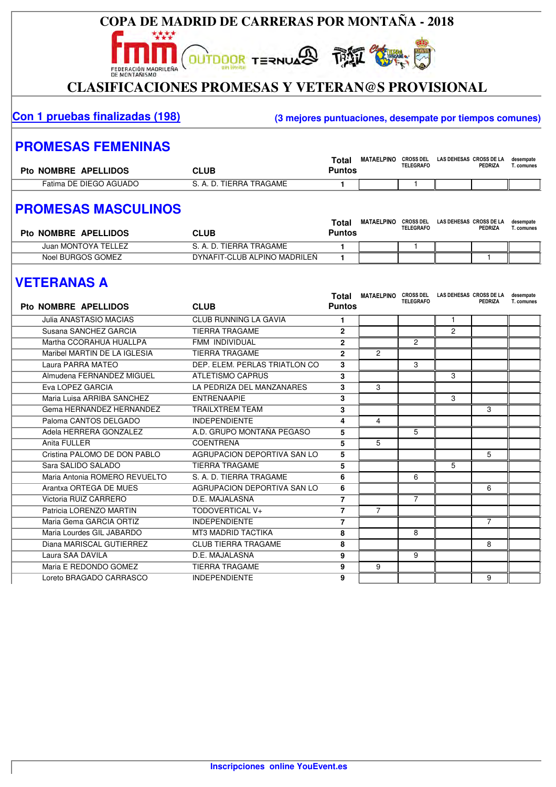## **COPA DE MADRID DE CARRERAS POR MONTAÑA - 2018 OUTDOOR TERNUARD THAT SURVEY OF** FEDERACIÓN MADRILEÑA

#### **CLASIFICACIONES PROMESAS Y VETERAN@S PROVISIONAL**

#### **Con 1 pruebas finalizadas (198) (3 mejores puntuaciones, desempate por tiempos comunes)**

#### **PROMESAS FEMENINAS**

| <b>Pto NOMBRE APELLIDOS</b> | <b>CLUB</b>                   | Total<br>Puntos | <b>MATAELPINO</b> | <b>CROSS DEL</b><br><b>TELEGRAFO</b> | LAS DEHESAS CROSS DE LA<br>PEDRIZA | desempate<br>. comunes |
|-----------------------------|-------------------------------|-----------------|-------------------|--------------------------------------|------------------------------------|------------------------|
| Fatima DE DIEGO AGUADO      | TIERRA TRAGAME<br>$\hat{A}$ . |                 |                   |                                      |                                    |                        |

## **PROMESAS MASCULINOS**

| Pto NOMBRE APELLIDOS | CLUB                         | Total<br>Puntos | <b>MATAELPINO</b> | <b>CROSS DEL</b><br><b>TELEGRAFO</b> | LAS DEHESAS CROSS DE LA | <b>PEDRIZA</b> | desempate<br><b>「. comunes</b> |
|----------------------|------------------------------|-----------------|-------------------|--------------------------------------|-------------------------|----------------|--------------------------------|
| Juan MONTOYA TELLEZ  | S. A. D. TIERRA TRAGAME      |                 |                   |                                      |                         |                |                                |
| Noel BURGOS GOMEZ    | DYNAFIT-CLUB ALPINO MADRILEÑ |                 |                   |                                      |                         |                |                                |

### **VETERANAS A**

| <b>Pto NOMBRE APELLIDOS</b>   | <b>CLUB</b>                    | Total<br><b>Puntos</b> | MATAELPINO CROSS DEL LAS DEHESAS CROSS DE LA | <b>TELEGRAFO</b> |                | PEDRIZA        | desempate<br>T. comunes |
|-------------------------------|--------------------------------|------------------------|----------------------------------------------|------------------|----------------|----------------|-------------------------|
| Julia ANASTASIO MACIAS        | <b>CLUB RUNNING LA GAVIA</b>   | 1                      |                                              |                  | $\mathbf{1}$   |                |                         |
| Susana SANCHEZ GARCIA         | <b>TIERRA TRAGAME</b>          | $\overline{2}$         |                                              |                  | $\overline{2}$ |                |                         |
| Martha CCORAHUA HUALLPA       | FMM INDIVIDUAL                 | $\overline{2}$         |                                              | $\overline{2}$   |                |                |                         |
| Maribel MARTIN DE LA IGLESIA  | <b>TIERRA TRAGAME</b>          | $\overline{2}$         | $\overline{2}$                               |                  |                |                |                         |
| Laura PARRA MATEO             | DEP. ELEM. PERLAS TRIATLON CO. | 3                      |                                              | 3                |                |                |                         |
| Almudena FERNANDEZ MIGUEL     | <b>ATLETISMO CAPRUS</b>        | 3                      |                                              |                  | 3              |                |                         |
| Eva LOPEZ GARCIA              | LA PEDRIZA DEL MANZANARES      | 3                      | 3                                            |                  |                |                |                         |
| Maria Luisa ARRIBA SANCHEZ    | <b>ENTRENAAPIE</b>             | 3                      |                                              |                  | 3              |                |                         |
| Gema HERNANDEZ HERNANDEZ      | <b>TRAILXTREM TEAM</b>         | 3                      |                                              |                  |                | 3              |                         |
| Paloma CANTOS DELGADO         | <b>INDEPENDIENTE</b>           | 4                      | 4                                            |                  |                |                |                         |
| Adela HERRERA GONZALEZ        | A.D. GRUPO MONTAÑA PEGASO      | 5                      |                                              | 5                |                |                |                         |
| Anita FULLER                  | <b>COENTRENA</b>               | 5                      | 5                                            |                  |                |                |                         |
| Cristina PALOMO DE DON PABLO  | AGRUPACION DEPORTIVA SAN LO    | 5                      |                                              |                  |                | 5              |                         |
| Sara SALIDO SALADO            | <b>TIERRA TRAGAME</b>          | 5                      |                                              |                  | 5              |                |                         |
| Maria Antonia ROMERO REVUELTO | S. A. D. TIERRA TRAGAME        | 6                      |                                              | 6                |                |                |                         |
| Arantxa ORTEGA DE MUES        | AGRUPACION DEPORTIVA SAN LO    | 6                      |                                              |                  |                | 6              |                         |
| Victoria RUIZ CARRERO         | D.E. MAJALASNA                 | $\overline{7}$         |                                              | $\overline{7}$   |                |                |                         |
| Patricia LORENZO MARTIN       | TODOVERTICAL V+                | $\overline{7}$         | $\overline{7}$                               |                  |                |                |                         |
| Maria Gema GARCIA ORTIZ       | <b>INDEPENDIENTE</b>           | $\overline{7}$         |                                              |                  |                | $\overline{7}$ |                         |
| Maria Lourdes GIL JABARDO     | <b>MT3 MADRID TACTIKA</b>      | 8                      |                                              | 8                |                |                |                         |
| Diana MARISCAL GUTIERREZ      | <b>CLUB TIERRA TRAGAME</b>     | 8                      |                                              |                  |                | 8              |                         |
| Laura SAA DAVILA              | D.E. MAJALASNA                 | 9                      |                                              | 9                |                |                |                         |
| Maria E REDONDO GOMEZ         | <b>TIERRA TRAGAME</b>          | 9                      | 9                                            |                  |                |                |                         |
| Loreto BRAGADO CARRASCO       | <b>INDEPENDIENTE</b>           | 9                      |                                              |                  |                | 9              |                         |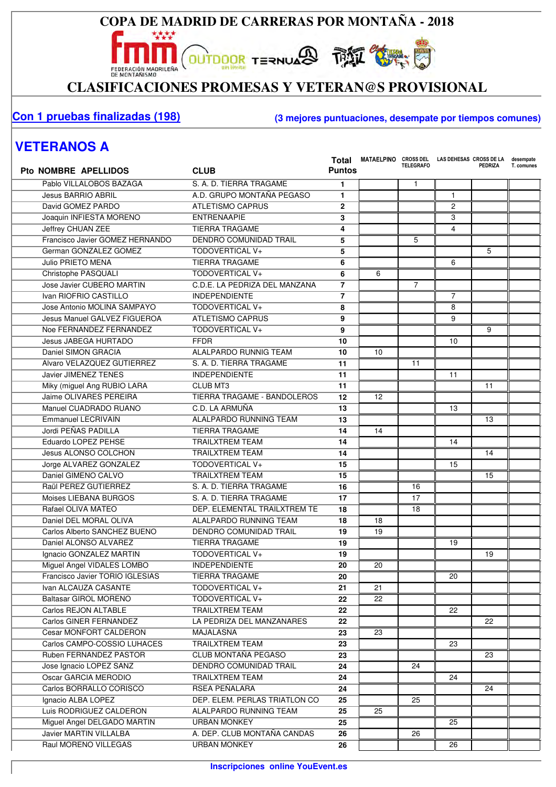

\*\*\*\*

EDERACIÓN MADRICAR **November 1999 - 1999 - 1999 - 1999 - 1999 - 1999 - 1999 - 1999 - 1999 - 1999 - 1999 - 1999 - 1999 - 1999 - 1999 - 1999 - 1999 - 1999 - 1999 - 1999 - 1999 - 1999 - 1999 - 1999 - 1999 - 1999 - 1999 - 1999** 

#### **Con 1 pruebas finalizadas (198) (3 mejores puntuaciones, desempate por tiempos comunes)**

#### **VETERANOS A**

| <b>Pto NOMBRE APELLIDOS</b>     | <b>CLUB</b>                   | <b>Puntos</b>   | Total MATAELPINO CROSS DEL LAS DEHESAS CROSS DE LA | <b>TELEGRAFO</b> |                | <b>PEDRIZA</b>  | desempate<br>T. comunes |
|---------------------------------|-------------------------------|-----------------|----------------------------------------------------|------------------|----------------|-----------------|-------------------------|
| Pablo VILLALOBOS BAZAGA         | S. A. D. TIERRA TRAGAME       | 1               |                                                    | $\mathbf{1}$     |                |                 |                         |
| <b>Jesus BARRIO ABRIL</b>       | A.D. GRUPO MONTAÑA PEGASO     | 1               |                                                    |                  | $\mathbf{1}$   |                 |                         |
| David GOMEZ PARDO               | <b>ATLETISMO CAPRUS</b>       | $\mathbf{2}$    |                                                    |                  | $\overline{c}$ |                 |                         |
| Joaquin INFIESTA MORENO         | <b>ENTRENAAPIE</b>            | 3               |                                                    |                  | 3              |                 |                         |
| Jeffrey CHUAN ZEE               | <b>TIERRA TRAGAME</b>         | 4               |                                                    |                  | 4              |                 |                         |
| Francisco Javier GOMEZ HERNANDO | <b>DENDRO COMUNIDAD TRAIL</b> | 5               |                                                    | 5                |                |                 |                         |
| German GONZALEZ GOMEZ           | TODOVERTICAL V+               | 5               |                                                    |                  |                | 5               |                         |
| Julio PRIETO MENA               | <b>TIERRA TRAGAME</b>         | 6               |                                                    |                  | 6              |                 |                         |
| Christophe PASQUALI             | TODOVERTICAL V+               | 6               | 6                                                  |                  |                |                 |                         |
| Jose Javier CUBERO MARTIN       | C.D.E. LA PEDRIZA DEL MANZANA | $\overline{7}$  |                                                    | $\overline{7}$   |                |                 |                         |
| Ivan RIOFRIO CASTILLO           | <b>INDEPENDIENTE</b>          | $\overline{7}$  |                                                    |                  | $\overline{7}$ |                 |                         |
| Jose Antonio MOLINA SAMPAYO     | TODOVERTICAL V+               | 8               |                                                    |                  | 8              |                 |                         |
| Jesus Manuel GALVEZ FIGUEROA    | <b>ATLETISMO CAPRUS</b>       | 9               |                                                    |                  | 9              |                 |                         |
| Noe FERNANDEZ FERNANDEZ         | TODOVERTICAL V+               | 9               |                                                    |                  |                | 9               |                         |
| Jesus JABEGA HURTADO            | <b>FFDR</b>                   | 10              |                                                    |                  | 10             |                 |                         |
| Daniel SIMON GRACIA             | ALALPARDO RUNNIG TEAM         | 10              | 10                                                 |                  |                |                 |                         |
| Alvaro VELAZQUEZ GUTIERREZ      | S. A. D. TIERRA TRAGAME       | 11              |                                                    | 11               |                |                 |                         |
| <b>Javier JIMENEZ TENES</b>     | <b>INDEPENDIENTE</b>          | 11              |                                                    |                  | 11             |                 |                         |
| Miky (miguel Ang RUBIO LARA     | <b>CLUB MT3</b>               | 11              |                                                    |                  |                | 11              |                         |
| Jaime OLIVARES PEREIRA          | TIERRA TRAGAME - BANDOLEROS   | 12              | 12                                                 |                  |                |                 |                         |
| Manuel CUADRADO RUANO           | C.D. LA ARMUÑA                | 13              |                                                    |                  | 13             |                 |                         |
| <b>Emmanuel LECRIVAIN</b>       | ALALPARDO RUNNING TEAM        | 13              |                                                    |                  |                | 13              |                         |
| Jordi PEÑAS PADILLA             | <b>TIERRA TRAGAME</b>         | 14              | 14                                                 |                  |                |                 |                         |
| Eduardo LOPEZ PEHSE             | <b>TRAILXTREM TEAM</b>        | 14              |                                                    |                  | 14             |                 |                         |
| <b>Jesus ALONSO COLCHON</b>     | <b>TRAILXTREM TEAM</b>        | 14              |                                                    |                  |                | 14              |                         |
| Jorge ALVAREZ GONZALEZ          | TODOVERTICAL V+               | 15              |                                                    |                  | 15             |                 |                         |
| Daniel GIMENO CALVO             | <b>TRAILXTREM TEAM</b>        | 15              |                                                    |                  |                | 15              |                         |
| Raül PEREZ GUTIERREZ            | S. A. D. TIERRA TRAGAME       | 16              |                                                    | 16               |                |                 |                         |
| Moises LIEBANA BURGOS           | S. A. D. TIERRA TRAGAME       | 17              |                                                    | 17               |                |                 |                         |
| Rafael OLIVA MATEO              | DEP. ELEMENTAL TRAILXTREM TE  | 18              |                                                    | 18               |                |                 |                         |
| Daniel DEL MORAL OLIVA          | ALALPARDO RUNNING TEAM        | 18              | 18                                                 |                  |                |                 |                         |
| Carlos Alberto SANCHEZ BUENO    | <b>DENDRO COMUNIDAD TRAIL</b> | 19              | 19                                                 |                  |                |                 |                         |
| Daniel ALONSO ALVAREZ           | <b>TIERRA TRAGAME</b>         | 19              |                                                    |                  | 19             |                 |                         |
| Ignacio GONZALEZ MARTIN         | TODOVERTICAL V+               | 19              |                                                    |                  |                | 19              |                         |
| Miguel Angel VIDALES LOMBO      | <b>INDEPENDIENTE</b>          | 20              | 20                                                 |                  |                |                 |                         |
| Francisco Javier TORIO IGLESIAS | <b>TIERRA TRAGAME</b>         | $\overline{20}$ |                                                    |                  | 20             |                 |                         |
| Ivan ALCAUZA CASANTE            | TODOVERTICAL V+               | 21              | 21                                                 |                  |                |                 |                         |
| <b>Baltasar GIROL MORENO</b>    | TODOVERTICAL V+               | 22              | 22                                                 |                  |                |                 |                         |
| Carlos REJON ALTABLE            | TRAILXTREM TEAM               | 22              |                                                    |                  | 22             |                 |                         |
| Carlos GINER FERNANDEZ          | LA PEDRIZA DEL MANZANARES     | 22              |                                                    |                  |                | $\overline{22}$ |                         |
| <b>Cesar MONFORT CALDERON</b>   | MAJALASNA                     | 23              | 23                                                 |                  |                |                 |                         |
| Carlos CAMPO-COSSIO LUHACES     | <b>TRAILXTREM TEAM</b>        | 23              |                                                    |                  | 23             |                 |                         |
| Ruben FERNANDEZ PASTOR          | CLUB MONTAÑA PEGASO           | 23              |                                                    |                  |                | 23              |                         |
| Jose Ignacio LOPEZ SANZ         | <b>DENDRO COMUNIDAD TRAIL</b> | 24              |                                                    | 24               |                |                 |                         |
| Oscar GARCIA MERODIO            | <b>TRAILXTREM TEAM</b>        | 24              |                                                    |                  | 24             |                 |                         |
| Carlos BORRALLO CORISCO         | RSEA PEÑALARA                 | 24              |                                                    |                  |                | 24              |                         |
| Ignacio ALBA LOPEZ              | DEP. ELEM. PERLAS TRIATLON CO | 25              |                                                    | 25               |                |                 |                         |
| Luis RODRIGUEZ CALDERON         | ALALPARDO RUNNING TEAM        | 25              | 25                                                 |                  |                |                 |                         |
| Miguel Angel DELGADO MARTIN     | <b>URBAN MONKEY</b>           | 25              |                                                    |                  | 25             |                 |                         |
| Javier MARTIN VILLALBA          | A. DEP. CLUB MONTAÑA CANDAS   | 26              |                                                    | 26               |                |                 |                         |
| Raul MORENO VILLEGAS            | <b>URBAN MONKEY</b>           | 26              |                                                    |                  | 26             |                 |                         |
|                                 |                               |                 |                                                    |                  |                |                 |                         |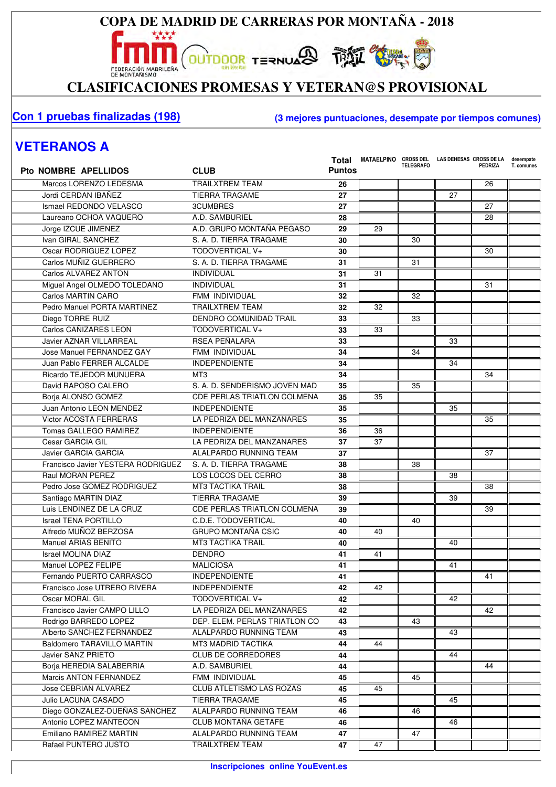**OUTDOOR TERNUARD THE SUBJECTION** 

\*\*\*\*

EDERACIÓN MADRICAR **November 1999 - 1999 - 1999 - 1999 - 1999 - 1999 - 1999 - 1999 - 1999 - 1999 - 1999 - 1999 - 1999 - 1999 - 1999 - 1999 - 1999 - 1999 - 1999 - 1999 - 1999 - 1999 - 1999 - 1999 - 1999 - 1999 - 1999 - 1999** 

#### **Con 1 pruebas finalizadas (198) (3 mejores puntuaciones, desempate por tiempos comunes)**

### **VETERANOS A**

| <b>Pto NOMBRE APELLIDOS</b>        | <b>CLUB</b>                        | Total<br><b>Puntos</b> | MATAELPINO CROSS DEL LAS DEHESAS CROSS DE LA | <b>TELEGRAFO</b> |    | <b>PEDRIZA</b> | desempate<br>T. comunes |
|------------------------------------|------------------------------------|------------------------|----------------------------------------------|------------------|----|----------------|-------------------------|
| Marcos LORENZO LEDESMA             | <b>TRAILXTREM TEAM</b>             | 26                     |                                              |                  |    | 26             |                         |
| Jordi CERDAN IBAÑEZ                | <b>TIERRA TRAGAME</b>              | 27                     |                                              |                  | 27 |                |                         |
| Ismael REDONDO VELASCO             | <b>3CUMBRES</b>                    | 27                     |                                              |                  |    | 27             |                         |
| Laureano OCHOA VAQUERO             | A.D. SAMBURIEL                     | 28                     |                                              |                  |    | 28             |                         |
| Jorge IZCUE JIMENEZ                | A.D. GRUPO MONTAÑA PEGASO          | 29                     | 29                                           |                  |    |                |                         |
| Ivan GIRAL SANCHEZ                 | S. A. D. TIERRA TRAGAME            | 30                     |                                              | 30               |    |                |                         |
| Oscar RODRIGUEZ LOPEZ              | TODOVERTICAL V+                    | 30                     |                                              |                  |    | 30             |                         |
| Carlos MUÑIZ GUERRERO              | S. A. D. TIERRA TRAGAME            | 31                     |                                              | 31               |    |                |                         |
| Carlos ALVAREZ ANTON               | <b>INDIVIDUAL</b>                  | 31                     | 31                                           |                  |    |                |                         |
| Miguel Angel OLMEDO TOLEDANO       | <b>INDIVIDUAL</b>                  | 31                     |                                              |                  |    | 31             |                         |
| Carlos MARTIN CARO                 | FMM INDIVIDUAL                     | 32                     |                                              | 32               |    |                |                         |
| Pedro Manuel PORTA MARTINEZ        | <b>TRAILXTREM TEAM</b>             | 32                     | 32                                           |                  |    |                |                         |
| Diego TORRE RUIZ                   | <b>DENDRO COMUNIDAD TRAIL</b>      | 33                     |                                              | 33               |    |                |                         |
| Carlos CAÑIZARES LEON              | TODOVERTICAL V+                    | 33                     | 33                                           |                  |    |                |                         |
| <b>Javier AZNAR VILLARREAL</b>     | RSEA PEÑALARA                      | 33                     |                                              |                  | 33 |                |                         |
| Jose Manuel FERNANDEZ GAY          | FMM INDIVIDUAL                     | 34                     |                                              | 34               |    |                |                         |
| Juan Pablo FERRER ALCALDE          | <b>INDEPENDIENTE</b>               | 34                     |                                              |                  | 34 |                |                         |
| Ricardo TEJEDOR MUNUERA            | MT <sub>3</sub>                    | 34                     |                                              |                  |    | 34             |                         |
| David RAPOSO CALERO                | S. A. D. SENDERISMO JOVEN MAD      | 35                     |                                              | 35               |    |                |                         |
| Borja ALONSO GOMEZ                 | <b>CDE PERLAS TRIATLON COLMENA</b> | 35                     | 35                                           |                  |    |                |                         |
| Juan Antonio LEON MENDEZ           | <b>INDEPENDIENTE</b>               | 35                     |                                              |                  | 35 |                |                         |
| <b>Victor ACOSTA FERRERAS</b>      | LA PEDRIZA DEL MANZANARES          | 35                     |                                              |                  |    | 35             |                         |
| <b>Tomas GALLEGO RAMIREZ</b>       | <b>INDEPENDIENTE</b>               | 36                     | 36                                           |                  |    |                |                         |
| Cesar GARCIA GIL                   | LA PEDRIZA DEL MANZANARES          | 37                     | 37                                           |                  |    |                |                         |
| <b>Javier GARCIA GARCIA</b>        | ALALPARDO RUNNING TEAM             | 37                     |                                              |                  |    | 37             |                         |
| Francisco Javier YESTERA RODRIGUEZ | S. A. D. TIERRA TRAGAME            | 38                     |                                              | 38               |    |                |                         |
| Raul MORAN PEREZ                   | LOS LOCOS DEL CERRO                | 38                     |                                              |                  | 38 |                |                         |
| Pedro Jose GOMEZ RODRIGUEZ         | <b>MT3 TACTIKA TRAIL</b>           | 38                     |                                              |                  |    | 38             |                         |
| Santiago MARTIN DIAZ               | <b>TIERRA TRAGAME</b>              | 39                     |                                              |                  | 39 |                |                         |
| Luis LENDINEZ DE LA CRUZ           | <b>CDE PERLAS TRIATLON COLMENA</b> | 39                     |                                              |                  |    | 39             |                         |
| <b>Israel TENA PORTILLO</b>        | C.D.E. TODOVERTICAL                | 40                     |                                              | 40               |    |                |                         |
| Alfredo MUÑOZ BERZOSA              | <b>GRUPO MONTAÑA CSIC</b>          | 40                     | 40                                           |                  |    |                |                         |
| Manuel ARIAS BENITO                | <b>MT3 TACTIKA TRAIL</b>           | 40                     |                                              |                  | 40 |                |                         |
| Israel MOLINA DIAZ                 | <b>DENDRO</b>                      | 41                     | 41                                           |                  |    |                |                         |
| Manuel LOPEZ FELIPE                | <b>MALICIOSA</b>                   | 41                     |                                              |                  | 41 |                |                         |
| Fernando PUERTO CARRASCO           | <b>INDEPENDIENTE</b>               | 41                     |                                              |                  |    | 41             |                         |
| Francisco Jose UTRERO RIVERA       | <b>INDEPENDIENTE</b>               | 42                     | 42                                           |                  |    |                |                         |
| Oscar MORAL GIL                    | TODOVERTICAL V+                    | 42                     |                                              |                  | 42 |                |                         |
| Francisco Javier CAMPO LILLO       | LA PEDRIZA DEL MANZANARES          | 42                     |                                              |                  |    | 42             |                         |
| Rodrigo BARREDO LOPEZ              | DEP. ELEM. PERLAS TRIATLON CO      | 43                     |                                              | 43               |    |                |                         |
| Alberto SANCHEZ FERNANDEZ          | ALALPARDO RUNNING TEAM             | 43                     |                                              |                  | 43 |                |                         |
| <b>Baldomero TARAVILLO MARTIN</b>  | MT3 MADRID TACTIKA                 | 44                     | 44                                           |                  |    |                |                         |
| Javier SANZ PRIETO                 | <b>CLUB DE CORREDORES</b>          | 44                     |                                              |                  | 44 |                |                         |
| Borja HEREDIA SALABERRIA           | A.D. SAMBURIEL                     | 44                     |                                              |                  |    | 44             |                         |
| Marcis ANTON FERNANDEZ             | FMM INDIVIDUAL                     | 45                     |                                              | 45               |    |                |                         |
| Jose CEBRIAN ALVAREZ               | CLUB ATLETISMO LAS ROZAS           | 45                     | 45                                           |                  |    |                |                         |
| Julio LACUNA CASADO                | <b>TIERRA TRAGAME</b>              | 45                     |                                              |                  | 45 |                |                         |
| Diego GONZALEZ-DUEÑAS SANCHEZ      | ALALPARDO RUNNING TEAM             | 46                     |                                              | 46               |    |                |                         |
| Antonio LOPEZ MANTECON             | CLUB MONTAÑA GETAFE                | 46                     |                                              |                  | 46 |                |                         |
| Emiliano RAMIREZ MARTIN            | ALALPARDO RUNNING TEAM             | 47                     |                                              | 47               |    |                |                         |
| Rafael PUNTERO JUSTO               | <b>TRAILXTREM TEAM</b>             | 47                     | 47                                           |                  |    |                |                         |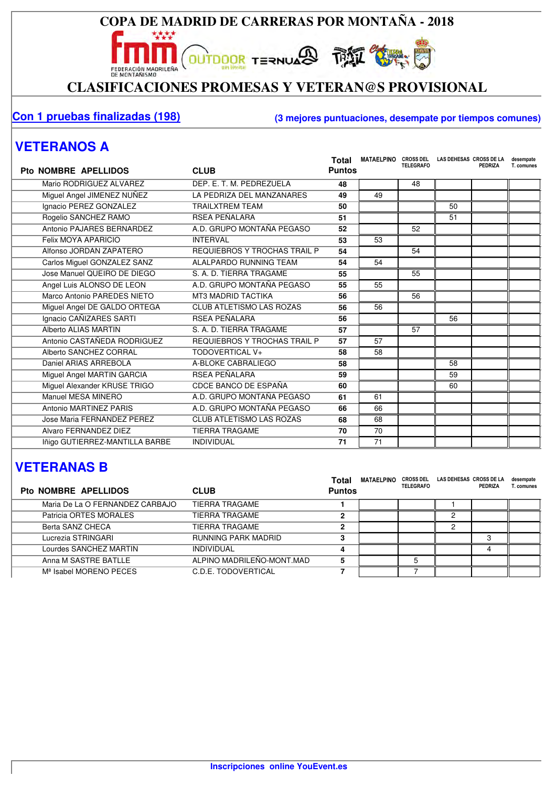**OUTDOOR TERNUARD TANK COMPUTER** 

EDERACIÓN MADRICAR **November 1999 - 1999 - 1999 - 1999 - 1999 - 1999**<br>CLASIFICACIONES PROMESAS Y VETERAN@S PROVISIONAL

#### **Con 1 pruebas finalizadas (198) (3 mejores puntuaciones, desempate por tiempos comunes)**

## **VETERANOS A**

| <b>Pto NOMBRE APELLIDOS</b>    | <b>CLUB</b>                         | Total<br><b>Puntos</b> | <b>MATAELPINO</b> | <b>CROSS DEL</b><br><b>TELEGRAFO</b> | LAS DEHESAS CROSS DE LA | <b>PEDRIZA</b> | desempate<br>T. comunes |
|--------------------------------|-------------------------------------|------------------------|-------------------|--------------------------------------|-------------------------|----------------|-------------------------|
| Mario RODRIGUEZ ALVAREZ        | DEP. E. T. M. PEDREZUELA            | 48                     |                   | 48                                   |                         |                |                         |
| Miguel Angel JIMENEZ NUÑEZ     | LA PEDRIZA DEL MANZANARES           | 49                     | 49                |                                      |                         |                |                         |
| Ignacio PEREZ GONZALEZ         | <b>TRAILXTREM TEAM</b>              | 50                     |                   |                                      | 50                      |                |                         |
| Rogelio SANCHEZ RAMO           | RSEA PEÑALARA                       | 51                     |                   |                                      | 51                      |                |                         |
| Antonio PAJARES BERNARDEZ      | A.D. GRUPO MONTAÑA PEGASO           | 52                     |                   | 52                                   |                         |                |                         |
| Felix MOYA APARICIO            | <b>INTERVAL</b>                     | 53                     | 53                |                                      |                         |                |                         |
| Alfonso JORDAN ZAPATERO        | REQUIEBROS Y TROCHAS TRAIL P        | 54                     |                   | 54                                   |                         |                |                         |
| Carlos Miguel GONZALEZ SANZ    | ALALPARDO RUNNING TEAM              | 54                     | 54                |                                      |                         |                |                         |
| Jose Manuel QUEIRO DE DIEGO    | S. A. D. TIERRA TRAGAME             | 55                     |                   | 55                                   |                         |                |                         |
| Angel Luis ALONSO DE LEON      | A.D. GRUPO MONTAÑA PEGASO           | 55                     | 55                |                                      |                         |                |                         |
| Marco Antonio PAREDES NIETO    | <b>MT3 MADRID TACTIKA</b>           | 56                     |                   | 56                                   |                         |                |                         |
| Miguel Angel DE GALDO ORTEGA   | <b>CLUB ATLETISMO LAS ROZAS</b>     | 56                     | 56                |                                      |                         |                |                         |
| Ignacio CAÑIZARES SARTI        | RSEA PEÑALARA                       | 56                     |                   |                                      | 56                      |                |                         |
| Alberto ALIAS MARTIN           | S. A. D. TIERRA TRAGAME             | 57                     |                   | 57                                   |                         |                |                         |
| Antonio CASTAÑEDA RODRIGUEZ    | <b>REQUIEBROS Y TROCHAS TRAIL P</b> | 57                     | 57                |                                      |                         |                |                         |
| Alberto SANCHEZ CORRAL         | TODOVERTICAL V+                     | 58                     | 58                |                                      |                         |                |                         |
| Daniel ARIAS ARREBOLA          | A-BLOKE CABRALIEGO                  | 58                     |                   |                                      | 58                      |                |                         |
| Miguel Angel MARTIN GARCIA     | <b>RSEA PEÑALARA</b>                | 59                     |                   |                                      | 59                      |                |                         |
| Miguel Alexander KRUSE TRIGO   | CDCE BANCO DE ESPAÑA                | 60                     |                   |                                      | 60                      |                |                         |
| Manuel MESA MINERO             | A.D. GRUPO MONTAÑA PEGASO           | 61                     | 61                |                                      |                         |                |                         |
| Antonio MARTINEZ PARIS         | A.D. GRUPO MONTAÑA PEGASO           | 66                     | 66                |                                      |                         |                |                         |
| Jose Maria FERNANDEZ PEREZ     | <b>CLUB ATLETISMO LAS ROZAS</b>     | 68                     | 68                |                                      |                         |                |                         |
| Alvaro FERNANDEZ DIEZ          | <b>TIERRA TRAGAME</b>               | 70                     | 70                |                                      |                         |                |                         |
| Iñigo GUTIERREZ-MANTILLA BARBE | <b>INDIVIDUAL</b>                   | 71                     | 71                |                                      |                         |                |                         |

## **VETERANAS B**

| Pto NOMBRE APELLIDOS               | <b>CLUB</b>               | Total<br><b>Puntos</b> | <b>MATAELPINO</b> | <b>CROSS DEL</b><br><b>TELEGRAFO</b> | LAS DEHESAS CROSS DE LA | PEDRIZA | desempate<br>T. comunes |
|------------------------------------|---------------------------|------------------------|-------------------|--------------------------------------|-------------------------|---------|-------------------------|
| Maria De La O FERNANDEZ CARBAJO    | TIERRA TRAGAME            |                        |                   |                                      |                         |         |                         |
| Patricia ORTES MORALES             | TIERRA TRAGAME            | 2                      |                   |                                      |                         |         |                         |
| Berta SANZ CHECA                   | TIERRA TRAGAME            | 2                      |                   |                                      |                         |         |                         |
| Lucrezia STRINGARI                 | RUNNING PARK MADRID       | 3                      |                   |                                      |                         |         |                         |
| Lourdes SANCHEZ MARTIN             | <b>INDIVIDUAL</b>         | 4                      |                   |                                      |                         |         |                         |
| Anna M SASTRE BATLLE               | ALPINO MADRILEÑO-MONT.MAD | 5                      |                   |                                      |                         |         |                         |
| M <sup>ª</sup> Isabel MORENO PECES | C.D.E. TODOVERTICAL       |                        |                   |                                      |                         |         |                         |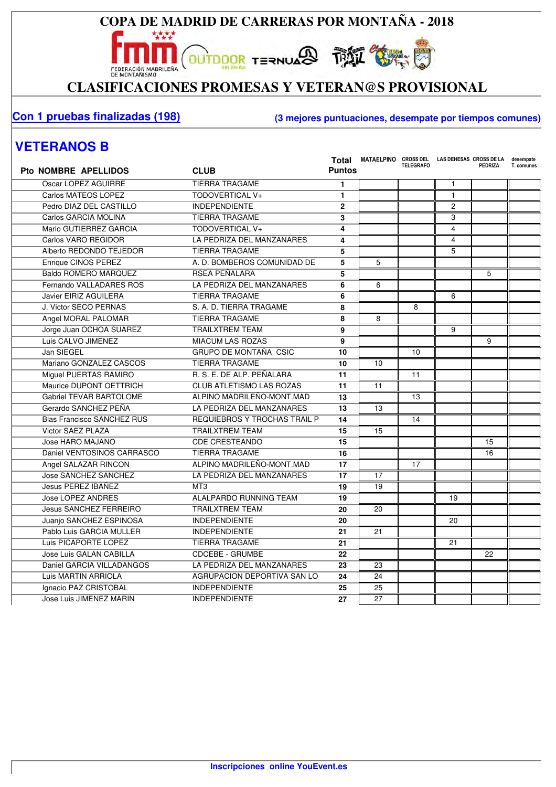**OUTDOOR TERNUARD THE SUBJECTION** 

\*\*\*\*

EDERACIÓN MADRICAR **November 1999 - 1999 - 1999 - 1999 - 1999 - 1999 - 1999 - 1999 - 1999 - 1999 - 1999 - 1999 - 1999 - 1999 - 1999 - 1999 - 1999 - 1999 - 1999 - 1999 - 1999 - 1999 - 1999 - 1999 - 1999 - 1999 - 1999 - 1999** 

#### **Con 1 pruebas finalizadas (198) (3 mejores puntuaciones, desempate por tiempos comunes)**

#### **VETERANOS B**

| <b>Pto NOMBRE APELLIDOS</b>       | <b>CLUB</b>                         | <b>Puntos</b> | Total MATAELPINO CROSS DEL LAS DEHESAS CROSS DE LA | <b>TELEGRAFO</b> |                | <b>PEDRIZA</b> | desempate<br>T. comunes |
|-----------------------------------|-------------------------------------|---------------|----------------------------------------------------|------------------|----------------|----------------|-------------------------|
| Oscar LOPEZ AGUIRRE               | <b>TIERRA TRAGAME</b>               | 1             |                                                    |                  | $\mathbf{1}$   |                |                         |
| Carlos MATEOS LOPEZ               | TODOVERTICAL V+                     | 1             |                                                    |                  | $\mathbf{1}$   |                |                         |
| Pedro DIAZ DEL CASTILLO           | <b>INDEPENDIENTE</b>                | $\mathbf{2}$  |                                                    |                  | $\overline{c}$ |                |                         |
| Carlos GARCIA MOLINA              | <b>TIERRA TRAGAME</b>               | 3             |                                                    |                  | 3              |                |                         |
| Mario GUTIERREZ GARCIA            | TODOVERTICAL V+                     | 4             |                                                    |                  | 4              |                |                         |
| Carlos VARO REGIDOR               | LA PEDRIZA DEL MANZANARES           | 4             |                                                    |                  | $\overline{4}$ |                |                         |
| Alberto REDONDO TEJEDOR           | TIERRA TRAGAME                      | 5             |                                                    |                  | 5              |                |                         |
| Enrique CINOS PEREZ               | A. D. BOMBEROS COMUNIDAD DE         | 5             | 5                                                  |                  |                |                |                         |
| <b>Baldo ROMERO MARQUEZ</b>       | RSEA PEÑALARA                       | 5             |                                                    |                  |                | 5              |                         |
| Fernando VALLADARES ROS           | LA PEDRIZA DEL MANZANARES           | 6             | 6                                                  |                  |                |                |                         |
| Javier EIRIZ AGUILERA             | <b>TIERRA TRAGAME</b>               | 6             |                                                    |                  | 6              |                |                         |
| J. Victor SECO PERNAS             | S. A. D. TIERRA TRAGAME             | 8             |                                                    | 8                |                |                |                         |
| Angel MORAL PALOMAR               | <b>TIERRA TRAGAME</b>               | 8             | 8                                                  |                  |                |                |                         |
| Jorge Juan OCHOA SUAREZ           | <b>TRAILXTREM TEAM</b>              | 9             |                                                    |                  | 9              |                |                         |
| Luis CALVO JIMENEZ                | <b>MIACUM LAS ROZAS</b>             | 9             |                                                    |                  |                | 9              |                         |
| Jan SIEGEL                        | GRUPO DE MONTAÑA CSIC               | 10            |                                                    | 10               |                |                |                         |
| Mariano GONZALEZ CASCOS           | <b>TIERRA TRAGAME</b>               | 10            | 10                                                 |                  |                |                |                         |
| Miguel PUERTAS RAMIRO             | R. S. E. DE ALP. PEÑALARA           | 11            |                                                    | 11               |                |                |                         |
| Maurice DUPONT OETTRICH           | <b>CLUB ATLETISMO LAS ROZAS</b>     | 11            | 11                                                 |                  |                |                |                         |
| <b>Gabriel TEVAR BARTOLOME</b>    | ALPINO MADRILEÑO-MONT.MAD           | 13            |                                                    | 13               |                |                |                         |
| Gerardo SANCHEZ PEÑA              | LA PEDRIZA DEL MANZANARES           | 13            | 13                                                 |                  |                |                |                         |
| <b>Blas Francisco SANCHEZ RUS</b> | <b>REQUIEBROS Y TROCHAS TRAIL P</b> | 14            |                                                    | 14               |                |                |                         |
| Victor SAEZ PLAZA                 | <b>TRAILXTREM TEAM</b>              | 15            | 15                                                 |                  |                |                |                         |
| Jose HARO MAJANO                  | <b>CDE CRESTEANDO</b>               | 15            |                                                    |                  |                | 15             |                         |
| Daniel VENTOSINOS CARRASCO        | <b>TIERRA TRAGAME</b>               | 16            |                                                    |                  |                | 16             |                         |
| Angel SALAZAR RINCON              | ALPINO MADRILEÑO-MONT.MAD           | 17            |                                                    | 17               |                |                |                         |
| <b>Jose SANCHEZ SANCHEZ</b>       | LA PEDRIZA DEL MANZANARES           | 17            | 17                                                 |                  |                |                |                         |
| Jesus PEREZ IBAÑEZ                | MT <sub>3</sub>                     | 19            | 19                                                 |                  |                |                |                         |
| <b>Jose LOPEZ ANDRES</b>          | ALALPARDO RUNNING TEAM              | 19            |                                                    |                  | 19             |                |                         |
| <b>Jesus SANCHEZ FERREIRO</b>     | <b>TRAILXTREM TEAM</b>              | 20            | 20                                                 |                  |                |                |                         |
| Juanio SANCHEZ ESPINOSA           | <b>INDEPENDIENTE</b>                | 20            |                                                    |                  | 20             |                |                         |
| Pablo Luis GARCIA MULLER          | <b>INDEPENDIENTE</b>                | 21            | 21                                                 |                  |                |                |                         |
| Luis PICAPORTE LOPEZ              | <b>TIERRA TRAGAME</b>               | 21            |                                                    |                  | 21             |                |                         |
| <b>Jose Luis GALAN CABILLA</b>    | <b>CDCEBE - GRUMBE</b>              | 22            |                                                    |                  |                | 22             |                         |
| Daniel GARCIA VILLADANGOS         | LA PEDRIZA DEL MANZANARES           | 23            | 23                                                 |                  |                |                |                         |
| Luis MARTIN ARRIOLA               | AGRUPACION DEPORTIVA SAN LO         | 24            | 24                                                 |                  |                |                |                         |
| Ignacio PAZ CRISTOBAL             | <b>INDEPENDIENTE</b>                | 25            | 25                                                 |                  |                |                |                         |
| Jose Luis JIMENEZ MARIN           | <b>INDEPENDIENTE</b>                | 27            | 27                                                 |                  |                |                |                         |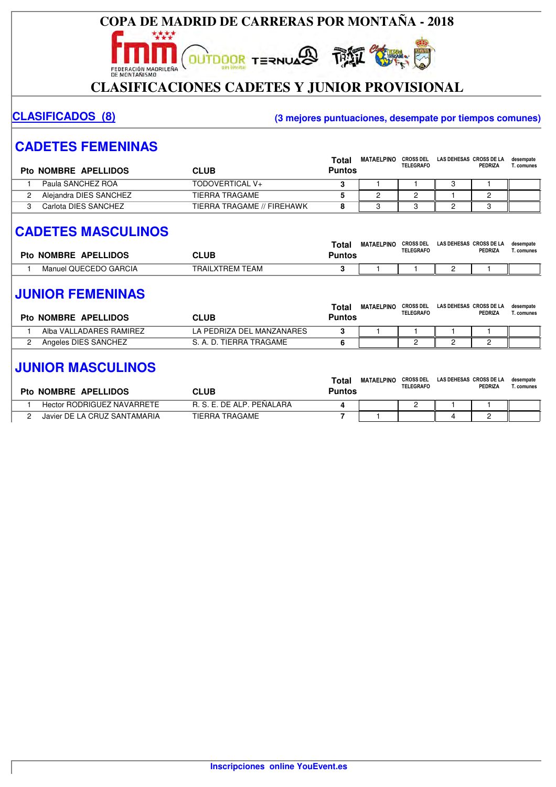

**OUTDOOR TERNUARD THE SUBJECTION** 

## CLASIFICACIONES CADETES Y JUNIOR PROVISIONAL

#### **CLASIFICADOS (8) (3 mejores puntuaciones, desempate por tiempos comunes)**

## **CADETES FEMENINAS**

| Pto NOMBRE APELLIDOS   | CLUB                       | Total<br><b>Puntos</b> | <b>MATAELPINO</b> | <b>CROSS DEL</b><br><b>TELEGRAFO</b> | LAS DEHESAS CROSS DE LA | PEDRIZA | desempate<br>ا . comunes |
|------------------------|----------------------------|------------------------|-------------------|--------------------------------------|-------------------------|---------|--------------------------|
| Paula SANCHEZ ROA      | TODOVERTICAL V+            |                        |                   |                                      |                         |         |                          |
| Aleiandra DIES SANCHEZ | TIERRA TRAGAME             |                        |                   |                                      |                         |         |                          |
| Carlota DIES SANCHEZ   | TIERRA TRAGAME // FIREHAWK |                        |                   |                                      |                         |         |                          |

## **CADETES MASCULINOS**

| <b>Pto NOMBRE APELLIDOS</b> | CLUB            | Tota<br>Puntos | <b>MATAELPINO</b> | <b>CROSS DEL</b><br><b>TELEGRAFO</b> | LAS DEHESAS CROSS DE LA | PEDRIZA | desempate<br>. comunes |
|-----------------------------|-----------------|----------------|-------------------|--------------------------------------|-------------------------|---------|------------------------|
| Manuel QUECEDO GARCIA       | TRAILXTREM TEAM |                |                   |                                      |                         |         |                        |

#### **JUNIOR FEMENINAS**

| <b>Pto NOMBRE APELLIDOS</b> | CLUB                      | Total<br><b>Puntos</b> | <b>MATAELPINO</b> | <b>CROSS DEL</b><br><b>TELEGRAFO</b> | LAS DEHESAS CROSS DE LA | <b>PEDRIZA</b> | desempate<br>T. comunes |
|-----------------------------|---------------------------|------------------------|-------------------|--------------------------------------|-------------------------|----------------|-------------------------|
| Alba VALLADARES RAMIREZ     | LA PEDRIZA DEL MANZANARES |                        |                   |                                      |                         |                |                         |
| Angeles DIES SANCHEZ        | S. A. D. TIERRA TRAGAME   |                        |                   |                                      |                         |                |                         |
|                             |                           |                        |                   |                                      |                         |                |                         |

#### **JUNIOR MASCULINOS**

| Pto NOMBRE APELLIDOS              | CLUB                      | Total<br>Puntos | MATAELPINC | <b>CROSS DEL</b><br><b>TELEGRAFO</b> | LAS DEHESAS CROSS DE LA | PEDRIZA | desempate<br>comunes). |
|-----------------------------------|---------------------------|-----------------|------------|--------------------------------------|-------------------------|---------|------------------------|
| <b>Hector RODRIGUEZ NAVARRETE</b> | R. S. E. DE ALP. PEÑALARA |                 |            |                                      |                         |         |                        |
| Javier DE LA CRUZ SANTAMARIA      | TIERRA TRAGAME            |                 |            |                                      |                         | _       |                        |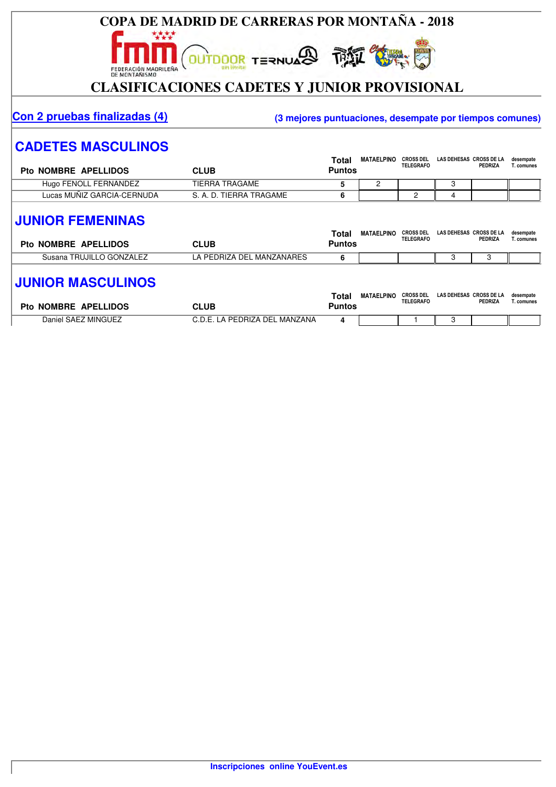

#### **Con 2 pruebas finalizadas (4) (3 mejores puntuaciones, desempate por tiempos comunes)**

MATAELPINO CROSS DEL LAS DEL LAS DEL LAS DEL LAS DEL LAS DEL LAS DEL LAS DEL LAS DEL LAS DEL LAS DEL LAS DEL LA

#### **CADETES MASCULINOS**

| Pto NOMBRE APELLIDOS       | CLUB                    | Total<br>Puntos | <b>MATAELPINO</b> | <b>CROSS DEL</b><br><b>TELEGRAFO</b> | LAS DEHESAS CROSS DE LA | PEDRIZA | desempate<br>Г. comunes |
|----------------------------|-------------------------|-----------------|-------------------|--------------------------------------|-------------------------|---------|-------------------------|
| Hugo FENOLL FERNANDEZ      | TIERRA TRAGAME          |                 |                   |                                      |                         |         |                         |
| Lucas MUNIZ GARCIA-CERNUDA | S. A. D. TIERRA TRAGAME |                 |                   |                                      | z.                      |         |                         |

#### **JUNIOR FEMENINAS**

| <b>Pto NOMBRE APELLIDOS</b> | CLUB                      | Tota<br>Puntos | <b>MATAELPINO</b> | <b>CROSS DEL</b><br><b>TELEGRAFO</b> | LAS DEHESAS CROSS DE LA | PEDRIZA | desempate<br>. . comunes |
|-----------------------------|---------------------------|----------------|-------------------|--------------------------------------|-------------------------|---------|--------------------------|
| Susana TRUJILLO GONZALEZ    | LA PEDRIZA DEL MANZANARES |                |                   |                                      |                         |         |                          |

#### **JUNIOR MASCULINOS**

| Pto NOMBRE APELLIDOS | CLUB                          | Tota<br>Puntos | <b>MATAELPINO</b> | <b>CROSS DEL</b><br><b>TELEGRAFO</b> | LAS DEHESAS CROSS DE LA | PEDRIZA | desempate<br>. comunes |
|----------------------|-------------------------------|----------------|-------------------|--------------------------------------|-------------------------|---------|------------------------|
| Daniel SAEZ MINGUEZ  | C.D.E. LA PEDRIZA DEL MANZANA |                |                   |                                      |                         |         |                        |